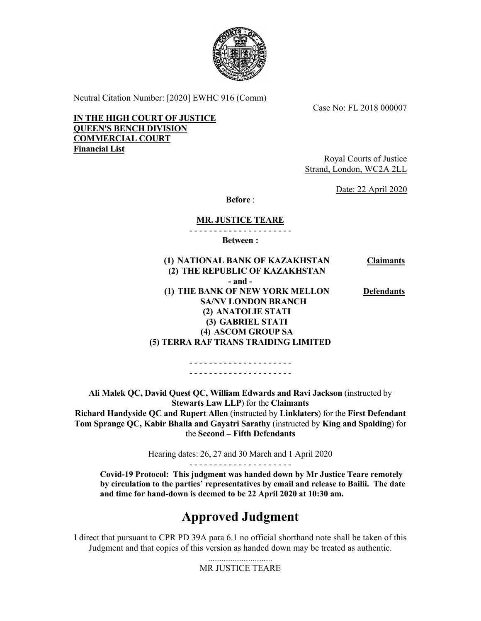

Neutral Citation Number: [2020] EWHC 916 (Comm)

Case No: FL 2018 000007

**IN THE HIGH COURT OF JUSTICE QUEEN'S BENCH DIVISION COMMERCIAL COURT Financial List** 

Royal Courts of Justice Strand, London, WC2A 2LL

Date: 22 April 2020

**Before** :

## **MR. JUSTICE TEARE**

- - - - - - - - - - - - - - - - - - - - -

**Between :** 

 **(1) NATIONAL BANK OF KAZAKHSTAN (2) THE REPUBLIC OF KAZAKHSTAN Claimants - and - (1) THE BANK OF NEW YORK MELLON SA/NV LONDON BRANCH (2) ANATOLIE STATI (3) GABRIEL STATI (4) ASCOM GROUP SA (5) TERRA RAF TRANS TRAIDING LIMITED Defendants** 

> - - - - - - - - - - - - - - - - - - - - - - - - - - - - - - - - - - - - - - - - - -

**Ali Malek QC, David Quest QC, William Edwards and Ravi Jackson** (instructed by **Stewarts Law LLP**) for the **Claimants Richard Handyside QC and Rupert Allen** (instructed by **Linklaters**) for the **First Defendant Tom Sprange QC, Kabir Bhalla and Gayatri Sarathy** (instructed by **King and Spalding**) for the **Second – Fifth Defendants** 

> Hearing dates: 26, 27 and 30 March and 1 April 2020 - - - - - - - - - - - - - - - - - - - - -

**Covid-19 Protocol: This judgment was handed down by Mr Justice Teare remotely by circulation to the parties' representatives by email and release to Bailii. The date and time for hand-down is deemed to be 22 April 2020 at 10:30 am.**

# **Approved Judgment**

I direct that pursuant to CPR PD 39A para 6.1 no official shorthand note shall be taken of this Judgment and that copies of this version as handed down may be treated as authentic.

> ............................. MR JUSTICE TEARE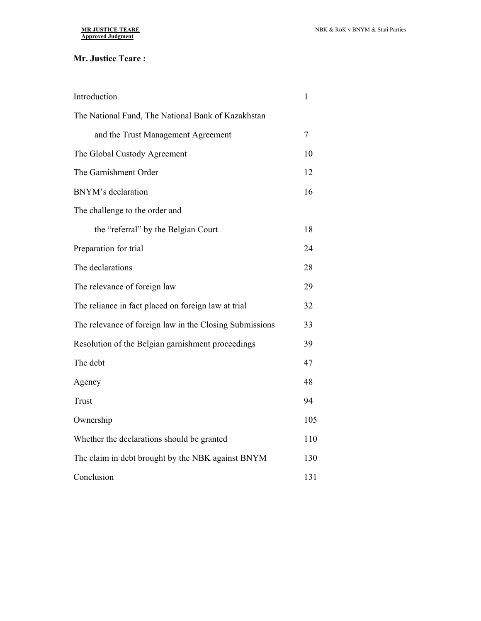## **Mr. Justice Teare :**

| Introduction                                            | 1   |
|---------------------------------------------------------|-----|
| The National Fund, The National Bank of Kazakhstan      |     |
| and the Trust Management Agreement                      | 7   |
| The Global Custody Agreement                            | 10  |
| The Garnishment Order                                   | 12  |
| BNYM's declaration                                      | 16  |
| The challenge to the order and                          |     |
| the "referral" by the Belgian Court                     | 18  |
| Preparation for trial                                   | 24  |
| The declarations                                        | 28  |
| The relevance of foreign law                            | 29  |
| The reliance in fact placed on foreign law at trial     | 32  |
| The relevance of foreign law in the Closing Submissions | 33  |
| Resolution of the Belgian garnishment proceedings       | 39  |
| The debt                                                | 47  |
| Agency                                                  | 48  |
| Trust                                                   | 94  |
| Ownership                                               | 105 |
| Whether the declarations should be granted              | 110 |
| The claim in debt brought by the NBK against BNYM       | 130 |
| Conclusion                                              | 131 |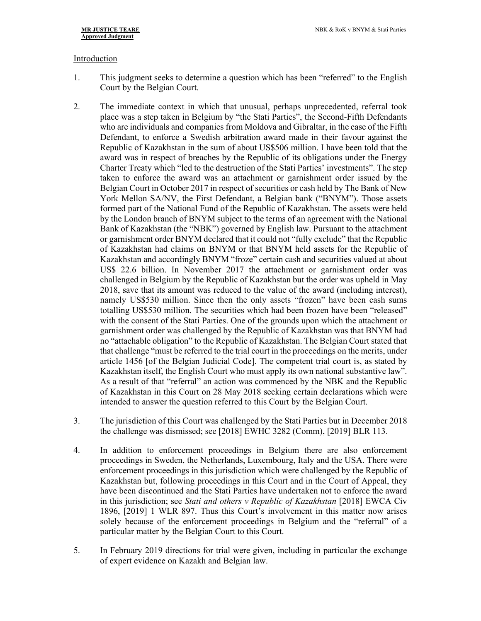#### Introduction

- 1. This judgment seeks to determine a question which has been "referred" to the English Court by the Belgian Court.
- 2. The immediate context in which that unusual, perhaps unprecedented, referral took place was a step taken in Belgium by "the Stati Parties", the Second-Fifth Defendants who are individuals and companies from Moldova and Gibraltar, in the case of the Fifth Defendant, to enforce a Swedish arbitration award made in their favour against the Republic of Kazakhstan in the sum of about US\$506 million. I have been told that the award was in respect of breaches by the Republic of its obligations under the Energy Charter Treaty which "led to the destruction of the Stati Parties' investments". The step taken to enforce the award was an attachment or garnishment order issued by the Belgian Court in October 2017 in respect of securities or cash held by The Bank of New York Mellon SA/NV, the First Defendant, a Belgian bank ("BNYM"). Those assets formed part of the National Fund of the Republic of Kazakhstan. The assets were held by the London branch of BNYM subject to the terms of an agreement with the National Bank of Kazakhstan (the "NBK") governed by English law. Pursuant to the attachment or garnishment order BNYM declared that it could not "fully exclude" that the Republic of Kazakhstan had claims on BNYM or that BNYM held assets for the Republic of Kazakhstan and accordingly BNYM "froze" certain cash and securities valued at about US\$ 22.6 billion. In November 2017 the attachment or garnishment order was challenged in Belgium by the Republic of Kazakhstan but the order was upheld in May 2018, save that its amount was reduced to the value of the award (including interest), namely US\$530 million. Since then the only assets "frozen" have been cash sums totalling US\$530 million. The securities which had been frozen have been "released" with the consent of the Stati Parties. One of the grounds upon which the attachment or garnishment order was challenged by the Republic of Kazakhstan was that BNYM had no "attachable obligation" to the Republic of Kazakhstan. The Belgian Court stated that that challenge "must be referred to the trial court in the proceedings on the merits, under article 1456 [of the Belgian Judicial Code]. The competent trial court is, as stated by Kazakhstan itself, the English Court who must apply its own national substantive law". As a result of that "referral" an action was commenced by the NBK and the Republic of Kazakhstan in this Court on 28 May 2018 seeking certain declarations which were intended to answer the question referred to this Court by the Belgian Court.
- 3. The jurisdiction of this Court was challenged by the Stati Parties but in December 2018 the challenge was dismissed; see [2018] EWHC 3282 (Comm), [2019] BLR 113.
- 4. In addition to enforcement proceedings in Belgium there are also enforcement proceedings in Sweden, the Netherlands, Luxembourg, Italy and the USA. There were enforcement proceedings in this jurisdiction which were challenged by the Republic of Kazakhstan but, following proceedings in this Court and in the Court of Appeal, they have been discontinued and the Stati Parties have undertaken not to enforce the award in this jurisdiction; see *Stati and others v Republic of Kazakhstan* [2018] EWCA Civ 1896, [2019] 1 WLR 897. Thus this Court's involvement in this matter now arises solely because of the enforcement proceedings in Belgium and the "referral" of a particular matter by the Belgian Court to this Court.
- 5. In February 2019 directions for trial were given, including in particular the exchange of expert evidence on Kazakh and Belgian law.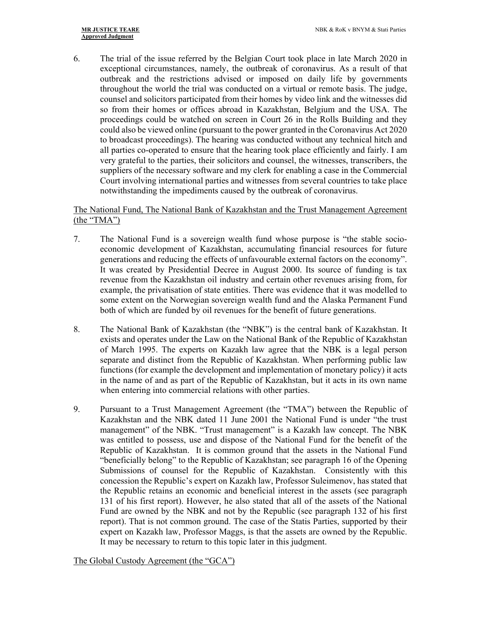6. The trial of the issue referred by the Belgian Court took place in late March 2020 in exceptional circumstances, namely, the outbreak of coronavirus. As a result of that outbreak and the restrictions advised or imposed on daily life by governments throughout the world the trial was conducted on a virtual or remote basis. The judge, counsel and solicitors participated from their homes by video link and the witnesses did so from their homes or offices abroad in Kazakhstan, Belgium and the USA. The proceedings could be watched on screen in Court 26 in the Rolls Building and they could also be viewed online (pursuant to the power granted in the Coronavirus Act 2020 to broadcast proceedings). The hearing was conducted without any technical hitch and all parties co-operated to ensure that the hearing took place efficiently and fairly. I am very grateful to the parties, their solicitors and counsel, the witnesses, transcribers, the suppliers of the necessary software and my clerk for enabling a case in the Commercial Court involving international parties and witnesses from several countries to take place notwithstanding the impediments caused by the outbreak of coronavirus.

## The National Fund, The National Bank of Kazakhstan and the Trust Management Agreement (the "TMA")

- 7. The National Fund is a sovereign wealth fund whose purpose is "the stable socioeconomic development of Kazakhstan, accumulating financial resources for future generations and reducing the effects of unfavourable external factors on the economy". It was created by Presidential Decree in August 2000. Its source of funding is tax revenue from the Kazakhstan oil industry and certain other revenues arising from, for example, the privatisation of state entities. There was evidence that it was modelled to some extent on the Norwegian sovereign wealth fund and the Alaska Permanent Fund both of which are funded by oil revenues for the benefit of future generations.
- 8. The National Bank of Kazakhstan (the "NBK") is the central bank of Kazakhstan. It exists and operates under the Law on the National Bank of the Republic of Kazakhstan of March 1995. The experts on Kazakh law agree that the NBK is a legal person separate and distinct from the Republic of Kazakhstan. When performing public law functions (for example the development and implementation of monetary policy) it acts in the name of and as part of the Republic of Kazakhstan, but it acts in its own name when entering into commercial relations with other parties.
- 9. Pursuant to a Trust Management Agreement (the "TMA") between the Republic of Kazakhstan and the NBK dated 11 June 2001 the National Fund is under "the trust management" of the NBK. "Trust management" is a Kazakh law concept. The NBK was entitled to possess, use and dispose of the National Fund for the benefit of the Republic of Kazakhstan. It is common ground that the assets in the National Fund "beneficially belong" to the Republic of Kazakhstan; see paragraph 16 of the Opening Submissions of counsel for the Republic of Kazakhstan. Consistently with this concession the Republic's expert on Kazakh law, Professor Suleimenov, has stated that the Republic retains an economic and beneficial interest in the assets (see paragraph 131 of his first report). However, he also stated that all of the assets of the National Fund are owned by the NBK and not by the Republic (see paragraph 132 of his first report). That is not common ground. The case of the Statis Parties, supported by their expert on Kazakh law, Professor Maggs, is that the assets are owned by the Republic. It may be necessary to return to this topic later in this judgment.

The Global Custody Agreement (the "GCA")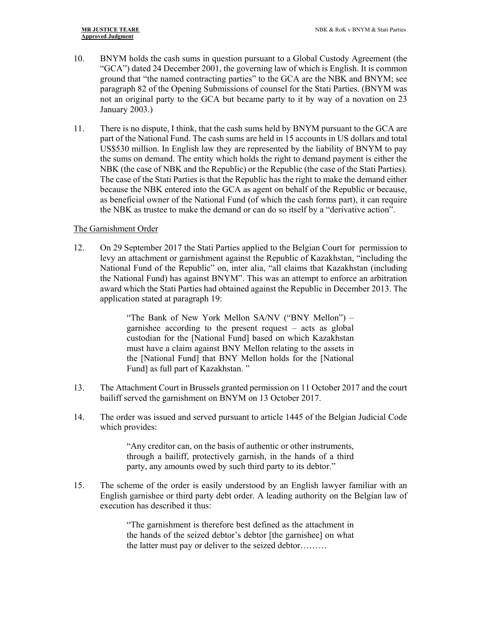- 10. BNYM holds the cash sums in question pursuant to a Global Custody Agreement (the "GCA") dated 24 December 2001, the governing law of which is English. It is common ground that "the named contracting parties" to the GCA are the NBK and BNYM; see paragraph 82 of the Opening Submissions of counsel for the Stati Parties. (BNYM was not an original party to the GCA but became party to it by way of a novation on 23 January 2003.)
- 11. There is no dispute, I think, that the cash sums held by BNYM pursuant to the GCA are part of the National Fund. The cash sums are held in 15 accounts in US dollars and total US\$530 million. In English law they are represented by the liability of BNYM to pay the sums on demand. The entity which holds the right to demand payment is either the NBK (the case of NBK and the Republic) or the Republic (the case of the Stati Parties). The case of the Stati Parties is that the Republic has the right to make the demand either because the NBK entered into the GCA as agent on behalf of the Republic or because, as beneficial owner of the National Fund (of which the cash forms part), it can require the NBK as trustee to make the demand or can do so itself by a "derivative action".

### The Garnishment Order

12. On 29 September 2017 the Stati Parties applied to the Belgian Court for permission to levy an attachment or garnishment against the Republic of Kazakhstan, "including the National Fund of the Republic" on, inter alia, "all claims that Kazakhstan (including the National Fund) has against BNYM". This was an attempt to enforce an arbitration award which the Stati Parties had obtained against the Republic in December 2013. The application stated at paragraph 19:

> "The Bank of New York Mellon SA/NV ("BNY Mellon") – garnishee according to the present request – acts as global custodian for the [National Fund] based on which Kazakhstan must have a claim against BNY Mellon relating to the assets in the [National Fund] that BNY Mellon holds for the [National Fund] as full part of Kazakhstan. "

- 13. The Attachment Court in Brussels granted permission on 11 October 2017 and the court bailiff served the garnishment on BNYM on 13 October 2017.
- 14. The order was issued and served pursuant to article 1445 of the Belgian Judicial Code which provides:

"Any creditor can, on the basis of authentic or other instruments, through a bailiff, protectively garnish, in the hands of a third party, any amounts owed by such third party to its debtor."

15. The scheme of the order is easily understood by an English lawyer familiar with an English garnishee or third party debt order. A leading authority on the Belgian law of execution has described it thus:

> "The garnishment is therefore best defined as the attachment in the hands of the seized debtor's debtor [the garnishee] on what the latter must pay or deliver to the seized debtor………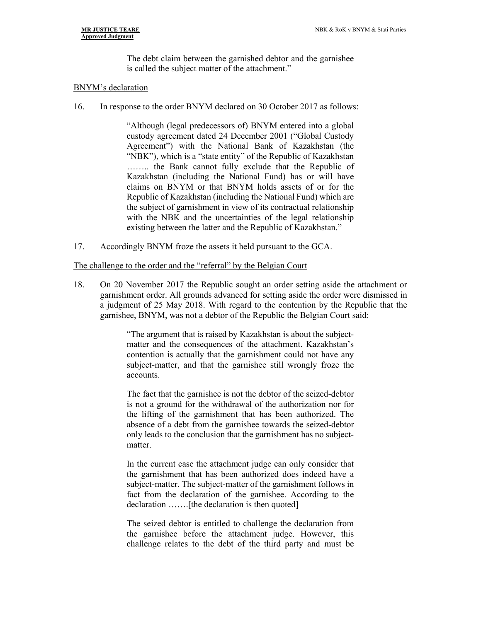The debt claim between the garnished debtor and the garnishee is called the subject matter of the attachment."

#### BNYM's declaration

16. In response to the order BNYM declared on 30 October 2017 as follows:

"Although (legal predecessors of) BNYM entered into a global custody agreement dated 24 December 2001 ("Global Custody Agreement") with the National Bank of Kazakhstan (the "NBK"), which is a "state entity" of the Republic of Kazakhstan …….. the Bank cannot fully exclude that the Republic of Kazakhstan (including the National Fund) has or will have claims on BNYM or that BNYM holds assets of or for the Republic of Kazakhstan (including the National Fund) which are the subject of garnishment in view of its contractual relationship with the NBK and the uncertainties of the legal relationship existing between the latter and the Republic of Kazakhstan."

17. Accordingly BNYM froze the assets it held pursuant to the GCA.

#### The challenge to the order and the "referral" by the Belgian Court

18. On 20 November 2017 the Republic sought an order setting aside the attachment or garnishment order. All grounds advanced for setting aside the order were dismissed in a judgment of 25 May 2018. With regard to the contention by the Republic that the garnishee, BNYM, was not a debtor of the Republic the Belgian Court said:

> "The argument that is raised by Kazakhstan is about the subjectmatter and the consequences of the attachment. Kazakhstan's contention is actually that the garnishment could not have any subject-matter, and that the garnishee still wrongly froze the accounts.

> The fact that the garnishee is not the debtor of the seized-debtor is not a ground for the withdrawal of the authorization nor for the lifting of the garnishment that has been authorized. The absence of a debt from the garnishee towards the seized-debtor only leads to the conclusion that the garnishment has no subjectmatter.

> In the current case the attachment judge can only consider that the garnishment that has been authorized does indeed have a subject-matter. The subject-matter of the garnishment follows in fact from the declaration of the garnishee. According to the declaration …….[the declaration is then quoted]

> The seized debtor is entitled to challenge the declaration from the garnishee before the attachment judge. However, this challenge relates to the debt of the third party and must be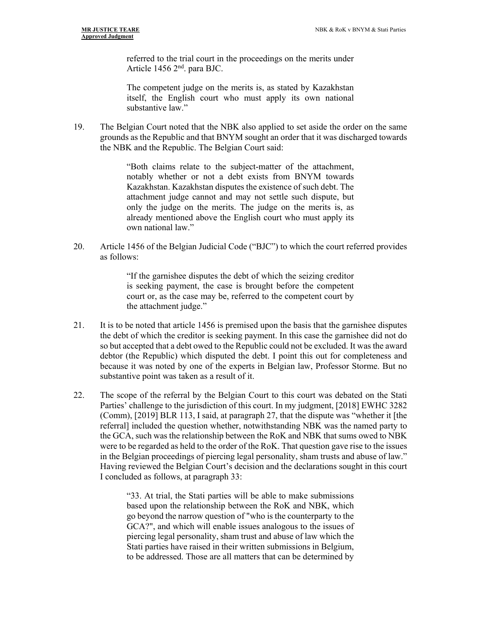referred to the trial court in the proceedings on the merits under Article 1456 2nd. para BJC.

The competent judge on the merits is, as stated by Kazakhstan itself, the English court who must apply its own national substantive law."

19. The Belgian Court noted that the NBK also applied to set aside the order on the same grounds as the Republic and that BNYM sought an order that it was discharged towards the NBK and the Republic. The Belgian Court said:

> "Both claims relate to the subject-matter of the attachment, notably whether or not a debt exists from BNYM towards Kazakhstan. Kazakhstan disputes the existence of such debt. The attachment judge cannot and may not settle such dispute, but only the judge on the merits. The judge on the merits is, as already mentioned above the English court who must apply its own national law."

20. Article 1456 of the Belgian Judicial Code ("BJC") to which the court referred provides as follows:

> "If the garnishee disputes the debt of which the seizing creditor is seeking payment, the case is brought before the competent court or, as the case may be, referred to the competent court by the attachment judge."

- 21. It is to be noted that article 1456 is premised upon the basis that the garnishee disputes the debt of which the creditor is seeking payment. In this case the garnishee did not do so but accepted that a debt owed to the Republic could not be excluded. It was the award debtor (the Republic) which disputed the debt. I point this out for completeness and because it was noted by one of the experts in Belgian law, Professor Storme. But no substantive point was taken as a result of it.
- 22. The scope of the referral by the Belgian Court to this court was debated on the Stati Parties' challenge to the jurisdiction of this court. In my judgment, [2018] EWHC 3282 (Comm), [2019] BLR 113, I said, at paragraph 27, that the dispute was "whether it [the referral] included the question whether, notwithstanding NBK was the named party to the GCA, such was the relationship between the RoK and NBK that sums owed to NBK were to be regarded as held to the order of the RoK. That question gave rise to the issues in the Belgian proceedings of piercing legal personality, sham trusts and abuse of law." Having reviewed the Belgian Court's decision and the declarations sought in this court I concluded as follows, at paragraph 33:

"33. At trial, the Stati parties will be able to make submissions based upon the relationship between the RoK and NBK, which go beyond the narrow question of "who is the counterparty to the GCA?", and which will enable issues analogous to the issues of piercing legal personality, sham trust and abuse of law which the Stati parties have raised in their written submissions in Belgium, to be addressed. Those are all matters that can be determined by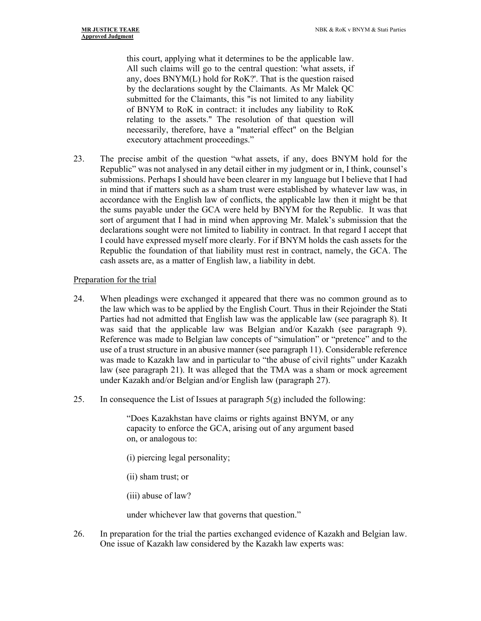this court, applying what it determines to be the applicable law. All such claims will go to the central question: 'what assets, if any, does BNYM(L) hold for RoK?'. That is the question raised by the declarations sought by the Claimants. As Mr Malek QC submitted for the Claimants, this "is not limited to any liability of BNYM to RoK in contract: it includes any liability to RoK relating to the assets." The resolution of that question will necessarily, therefore, have a "material effect" on the Belgian executory attachment proceedings."

23. The precise ambit of the question "what assets, if any, does BNYM hold for the Republic" was not analysed in any detail either in my judgment or in, I think, counsel's submissions. Perhaps I should have been clearer in my language but I believe that I had in mind that if matters such as a sham trust were established by whatever law was, in accordance with the English law of conflicts, the applicable law then it might be that the sums payable under the GCA were held by BNYM for the Republic. It was that sort of argument that I had in mind when approving Mr. Malek's submission that the declarations sought were not limited to liability in contract. In that regard I accept that I could have expressed myself more clearly. For if BNYM holds the cash assets for the Republic the foundation of that liability must rest in contract, namely, the GCA. The cash assets are, as a matter of English law, a liability in debt.

## Preparation for the trial

- 24. When pleadings were exchanged it appeared that there was no common ground as to the law which was to be applied by the English Court. Thus in their Rejoinder the Stati Parties had not admitted that English law was the applicable law (see paragraph 8). It was said that the applicable law was Belgian and/or Kazakh (see paragraph 9). Reference was made to Belgian law concepts of "simulation" or "pretence" and to the use of a trust structure in an abusive manner (see paragraph 11). Considerable reference was made to Kazakh law and in particular to "the abuse of civil rights" under Kazakh law (see paragraph 21). It was alleged that the TMA was a sham or mock agreement under Kazakh and/or Belgian and/or English law (paragraph 27).
- 25. In consequence the List of Issues at paragraph  $5(g)$  included the following:

"Does Kazakhstan have claims or rights against BNYM, or any capacity to enforce the GCA, arising out of any argument based on, or analogous to:

- (i) piercing legal personality;
- (ii) sham trust; or
- (iii) abuse of law?

under whichever law that governs that question."

26. In preparation for the trial the parties exchanged evidence of Kazakh and Belgian law. One issue of Kazakh law considered by the Kazakh law experts was: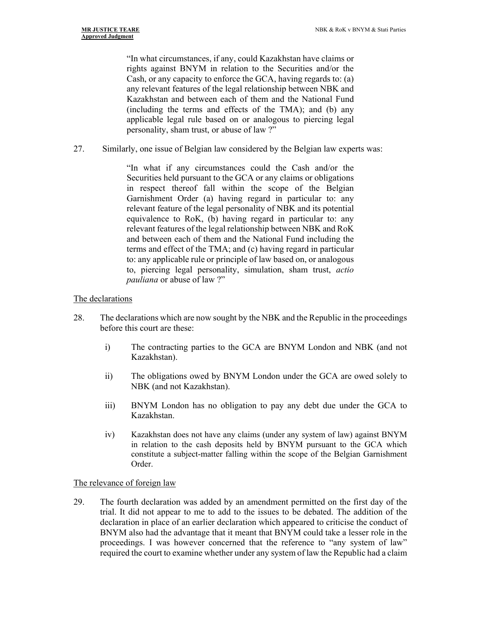"In what circumstances, if any, could Kazakhstan have claims or rights against BNYM in relation to the Securities and/or the Cash, or any capacity to enforce the GCA, having regards to: (a) any relevant features of the legal relationship between NBK and Kazakhstan and between each of them and the National Fund (including the terms and effects of the TMA); and (b) any applicable legal rule based on or analogous to piercing legal personality, sham trust, or abuse of law ?"

27. Similarly, one issue of Belgian law considered by the Belgian law experts was:

"In what if any circumstances could the Cash and/or the Securities held pursuant to the GCA or any claims or obligations in respect thereof fall within the scope of the Belgian Garnishment Order (a) having regard in particular to: any relevant feature of the legal personality of NBK and its potential equivalence to RoK, (b) having regard in particular to: any relevant features of the legal relationship between NBK and RoK and between each of them and the National Fund including the terms and effect of the TMA; and (c) having regard in particular to: any applicable rule or principle of law based on, or analogous to, piercing legal personality, simulation, sham trust, *actio pauliana* or abuse of law ?"

## The declarations

- 28. The declarations which are now sought by the NBK and the Republic in the proceedings before this court are these:
	- i) The contracting parties to the GCA are BNYM London and NBK (and not Kazakhstan).
	- ii) The obligations owed by BNYM London under the GCA are owed solely to NBK (and not Kazakhstan).
	- iii) BNYM London has no obligation to pay any debt due under the GCA to Kazakhstan.
	- iv) Kazakhstan does not have any claims (under any system of law) against BNYM in relation to the cash deposits held by BNYM pursuant to the GCA which constitute a subject-matter falling within the scope of the Belgian Garnishment Order.

## The relevance of foreign law

29. The fourth declaration was added by an amendment permitted on the first day of the trial. It did not appear to me to add to the issues to be debated. The addition of the declaration in place of an earlier declaration which appeared to criticise the conduct of BNYM also had the advantage that it meant that BNYM could take a lesser role in the proceedings. I was however concerned that the reference to "any system of law" required the court to examine whether under any system of law the Republic had a claim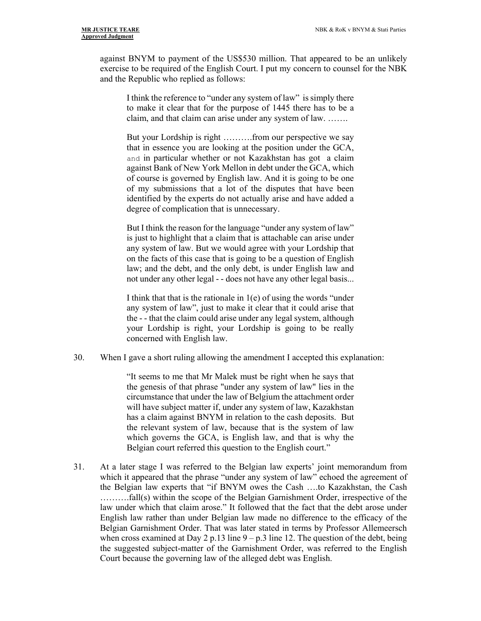against BNYM to payment of the US\$530 million. That appeared to be an unlikely exercise to be required of the English Court. I put my concern to counsel for the NBK and the Republic who replied as follows:

I think the reference to "under any system of law" is simply there to make it clear that for the purpose of 1445 there has to be a claim, and that claim can arise under any system of law. …….

But your Lordship is right ……….from our perspective we say that in essence you are looking at the position under the GCA, and in particular whether or not Kazakhstan has got a claim against Bank of New York Mellon in debt under the GCA, which of course is governed by English law. And it is going to be one of my submissions that a lot of the disputes that have been identified by the experts do not actually arise and have added a degree of complication that is unnecessary.

But I think the reason for the language "under any system of law" is just to highlight that a claim that is attachable can arise under any system of law. But we would agree with your Lordship that on the facts of this case that is going to be a question of English law; and the debt, and the only debt, is under English law and not under any other legal - - does not have any other legal basis...

I think that that is the rationale in  $1(e)$  of using the words "under" any system of law", just to make it clear that it could arise that the - - that the claim could arise under any legal system, although your Lordship is right, your Lordship is going to be really concerned with English law.

30. When I gave a short ruling allowing the amendment I accepted this explanation:

"It seems to me that Mr Malek must be right when he says that the genesis of that phrase "under any system of law" lies in the circumstance that under the law of Belgium the attachment order will have subject matter if, under any system of law, Kazakhstan has a claim against BNYM in relation to the cash deposits. But the relevant system of law, because that is the system of law which governs the GCA, is English law, and that is why the Belgian court referred this question to the English court."

31. At a later stage I was referred to the Belgian law experts' joint memorandum from which it appeared that the phrase "under any system of law" echoed the agreement of the Belgian law experts that "if BNYM owes the Cash ….to Kazakhstan, the Cash ……….fall(s) within the scope of the Belgian Garnishment Order, irrespective of the law under which that claim arose." It followed that the fact that the debt arose under English law rather than under Belgian law made no difference to the efficacy of the Belgian Garnishment Order. That was later stated in terms by Professor Allemeersch when cross examined at Day 2 p.13 line  $9 - p.3$  line 12. The question of the debt, being the suggested subject-matter of the Garnishment Order, was referred to the English Court because the governing law of the alleged debt was English.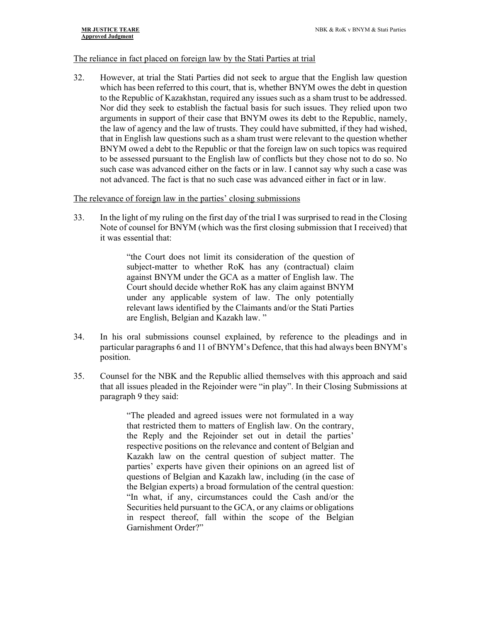#### The reliance in fact placed on foreign law by the Stati Parties at trial

32. However, at trial the Stati Parties did not seek to argue that the English law question which has been referred to this court, that is, whether BNYM owes the debt in question to the Republic of Kazakhstan, required any issues such as a sham trust to be addressed. Nor did they seek to establish the factual basis for such issues. They relied upon two arguments in support of their case that BNYM owes its debt to the Republic, namely, the law of agency and the law of trusts. They could have submitted, if they had wished, that in English law questions such as a sham trust were relevant to the question whether BNYM owed a debt to the Republic or that the foreign law on such topics was required to be assessed pursuant to the English law of conflicts but they chose not to do so. No such case was advanced either on the facts or in law. I cannot say why such a case was not advanced. The fact is that no such case was advanced either in fact or in law.

#### The relevance of foreign law in the parties' closing submissions

33. In the light of my ruling on the first day of the trial I was surprised to read in the Closing Note of counsel for BNYM (which was the first closing submission that I received) that it was essential that:

> "the Court does not limit its consideration of the question of subject-matter to whether RoK has any (contractual) claim against BNYM under the GCA as a matter of English law. The Court should decide whether RoK has any claim against BNYM under any applicable system of law. The only potentially relevant laws identified by the Claimants and/or the Stati Parties are English, Belgian and Kazakh law. "

- 34. In his oral submissions counsel explained, by reference to the pleadings and in particular paragraphs 6 and 11 of BNYM's Defence, that this had always been BNYM's position.
- 35. Counsel for the NBK and the Republic allied themselves with this approach and said that all issues pleaded in the Rejoinder were "in play". In their Closing Submissions at paragraph 9 they said:

"The pleaded and agreed issues were not formulated in a way that restricted them to matters of English law. On the contrary, the Reply and the Rejoinder set out in detail the parties' respective positions on the relevance and content of Belgian and Kazakh law on the central question of subject matter. The parties' experts have given their opinions on an agreed list of questions of Belgian and Kazakh law, including (in the case of the Belgian experts) a broad formulation of the central question: "In what, if any, circumstances could the Cash and/or the Securities held pursuant to the GCA, or any claims or obligations in respect thereof, fall within the scope of the Belgian Garnishment Order?"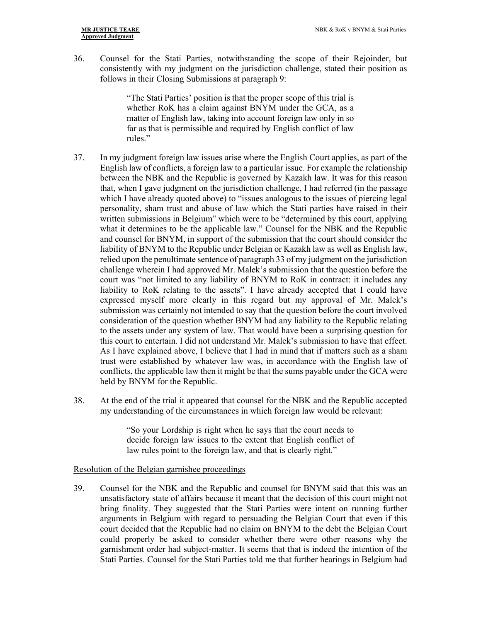36. Counsel for the Stati Parties, notwithstanding the scope of their Rejoinder, but consistently with my judgment on the jurisdiction challenge, stated their position as follows in their Closing Submissions at paragraph 9:

> "The Stati Parties' position is that the proper scope of this trial is whether RoK has a claim against BNYM under the GCA, as a matter of English law, taking into account foreign law only in so far as that is permissible and required by English conflict of law rules."

- 37. In my judgment foreign law issues arise where the English Court applies, as part of the English law of conflicts, a foreign law to a particular issue. For example the relationship between the NBK and the Republic is governed by Kazakh law. It was for this reason that, when I gave judgment on the jurisdiction challenge, I had referred (in the passage which I have already quoted above) to "issues analogous to the issues of piercing legal personality, sham trust and abuse of law which the Stati parties have raised in their written submissions in Belgium" which were to be "determined by this court, applying what it determines to be the applicable law." Counsel for the NBK and the Republic and counsel for BNYM, in support of the submission that the court should consider the liability of BNYM to the Republic under Belgian or Kazakh law as well as English law, relied upon the penultimate sentence of paragraph 33 of my judgment on the jurisdiction challenge wherein I had approved Mr. Malek's submission that the question before the court was "not limited to any liability of BNYM to RoK in contract: it includes any liability to RoK relating to the assets". I have already accepted that I could have expressed myself more clearly in this regard but my approval of Mr. Malek's submission was certainly not intended to say that the question before the court involved consideration of the question whether BNYM had any liability to the Republic relating to the assets under any system of law. That would have been a surprising question for this court to entertain. I did not understand Mr. Malek's submission to have that effect. As I have explained above, I believe that I had in mind that if matters such as a sham trust were established by whatever law was, in accordance with the English law of conflicts, the applicable law then it might be that the sums payable under the GCA were held by BNYM for the Republic.
- 38. At the end of the trial it appeared that counsel for the NBK and the Republic accepted my understanding of the circumstances in which foreign law would be relevant:

"So your Lordship is right when he says that the court needs to decide foreign law issues to the extent that English conflict of law rules point to the foreign law, and that is clearly right."

#### Resolution of the Belgian garnishee proceedings

39. Counsel for the NBK and the Republic and counsel for BNYM said that this was an unsatisfactory state of affairs because it meant that the decision of this court might not bring finality. They suggested that the Stati Parties were intent on running further arguments in Belgium with regard to persuading the Belgian Court that even if this court decided that the Republic had no claim on BNYM to the debt the Belgian Court could properly be asked to consider whether there were other reasons why the garnishment order had subject-matter. It seems that that is indeed the intention of the Stati Parties. Counsel for the Stati Parties told me that further hearings in Belgium had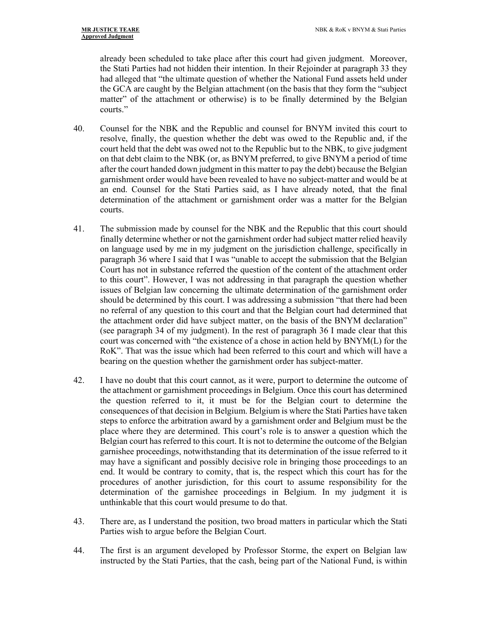already been scheduled to take place after this court had given judgment. Moreover, the Stati Parties had not hidden their intention. In their Rejoinder at paragraph 33 they had alleged that "the ultimate question of whether the National Fund assets held under the GCA are caught by the Belgian attachment (on the basis that they form the "subject matter" of the attachment or otherwise) is to be finally determined by the Belgian courts."

- 40. Counsel for the NBK and the Republic and counsel for BNYM invited this court to resolve, finally, the question whether the debt was owed to the Republic and, if the court held that the debt was owed not to the Republic but to the NBK, to give judgment on that debt claim to the NBK (or, as BNYM preferred, to give BNYM a period of time after the court handed down judgment in this matter to pay the debt) because the Belgian garnishment order would have been revealed to have no subject-matter and would be at an end. Counsel for the Stati Parties said, as I have already noted, that the final determination of the attachment or garnishment order was a matter for the Belgian courts.
- 41. The submission made by counsel for the NBK and the Republic that this court should finally determine whether or not the garnishment order had subject matter relied heavily on language used by me in my judgment on the jurisdiction challenge, specifically in paragraph 36 where I said that I was "unable to accept the submission that the Belgian Court has not in substance referred the question of the content of the attachment order to this court". However, I was not addressing in that paragraph the question whether issues of Belgian law concerning the ultimate determination of the garnishment order should be determined by this court. I was addressing a submission "that there had been no referral of any question to this court and that the Belgian court had determined that the attachment order did have subject matter, on the basis of the BNYM declaration" (see paragraph 34 of my judgment). In the rest of paragraph 36 I made clear that this court was concerned with "the existence of a chose in action held by BNYM(L) for the RoK". That was the issue which had been referred to this court and which will have a bearing on the question whether the garnishment order has subject-matter.
- 42. I have no doubt that this court cannot, as it were, purport to determine the outcome of the attachment or garnishment proceedings in Belgium. Once this court has determined the question referred to it, it must be for the Belgian court to determine the consequences of that decision in Belgium. Belgium is where the Stati Parties have taken steps to enforce the arbitration award by a garnishment order and Belgium must be the place where they are determined. This court's role is to answer a question which the Belgian court has referred to this court. It is not to determine the outcome of the Belgian garnishee proceedings, notwithstanding that its determination of the issue referred to it may have a significant and possibly decisive role in bringing those proceedings to an end. It would be contrary to comity, that is, the respect which this court has for the procedures of another jurisdiction, for this court to assume responsibility for the determination of the garnishee proceedings in Belgium. In my judgment it is unthinkable that this court would presume to do that.
- 43. There are, as I understand the position, two broad matters in particular which the Stati Parties wish to argue before the Belgian Court.
- 44. The first is an argument developed by Professor Storme, the expert on Belgian law instructed by the Stati Parties, that the cash, being part of the National Fund, is within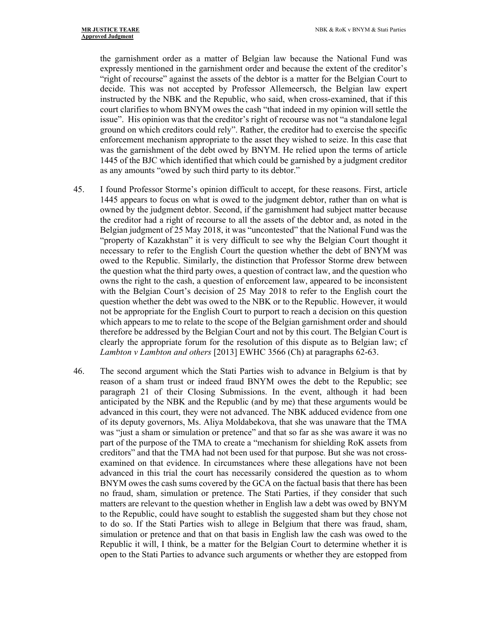the garnishment order as a matter of Belgian law because the National Fund was expressly mentioned in the garnishment order and because the extent of the creditor's "right of recourse" against the assets of the debtor is a matter for the Belgian Court to decide. This was not accepted by Professor Allemeersch, the Belgian law expert instructed by the NBK and the Republic, who said, when cross-examined, that if this court clarifies to whom BNYM owes the cash "that indeed in my opinion will settle the issue". His opinion was that the creditor's right of recourse was not "a standalone legal ground on which creditors could rely". Rather, the creditor had to exercise the specific enforcement mechanism appropriate to the asset they wished to seize. In this case that was the garnishment of the debt owed by BNYM. He relied upon the terms of article 1445 of the BJC which identified that which could be garnished by a judgment creditor as any amounts "owed by such third party to its debtor."

- 45. I found Professor Storme's opinion difficult to accept, for these reasons. First, article 1445 appears to focus on what is owed to the judgment debtor, rather than on what is owned by the judgment debtor. Second, if the garnishment had subject matter because the creditor had a right of recourse to all the assets of the debtor and, as noted in the Belgian judgment of 25 May 2018, it was "uncontested" that the National Fund was the "property of Kazakhstan" it is very difficult to see why the Belgian Court thought it necessary to refer to the English Court the question whether the debt of BNYM was owed to the Republic. Similarly, the distinction that Professor Storme drew between the question what the third party owes, a question of contract law, and the question who owns the right to the cash, a question of enforcement law, appeared to be inconsistent with the Belgian Court's decision of 25 May 2018 to refer to the English court the question whether the debt was owed to the NBK or to the Republic. However, it would not be appropriate for the English Court to purport to reach a decision on this question which appears to me to relate to the scope of the Belgian garnishment order and should therefore be addressed by the Belgian Court and not by this court. The Belgian Court is clearly the appropriate forum for the resolution of this dispute as to Belgian law; cf *Lambton v Lambton and others* [2013] EWHC 3566 (Ch) at paragraphs 62-63.
- 46. The second argument which the Stati Parties wish to advance in Belgium is that by reason of a sham trust or indeed fraud BNYM owes the debt to the Republic; see paragraph 21 of their Closing Submissions. In the event, although it had been anticipated by the NBK and the Republic (and by me) that these arguments would be advanced in this court, they were not advanced. The NBK adduced evidence from one of its deputy governors, Ms. Aliya Moldabekova, that she was unaware that the TMA was "just a sham or simulation or pretence" and that so far as she was aware it was no part of the purpose of the TMA to create a "mechanism for shielding RoK assets from creditors" and that the TMA had not been used for that purpose. But she was not crossexamined on that evidence. In circumstances where these allegations have not been advanced in this trial the court has necessarily considered the question as to whom BNYM owes the cash sums covered by the GCA on the factual basis that there has been no fraud, sham, simulation or pretence. The Stati Parties, if they consider that such matters are relevant to the question whether in English law a debt was owed by BNYM to the Republic, could have sought to establish the suggested sham but they chose not to do so. If the Stati Parties wish to allege in Belgium that there was fraud, sham, simulation or pretence and that on that basis in English law the cash was owed to the Republic it will, I think, be a matter for the Belgian Court to determine whether it is open to the Stati Parties to advance such arguments or whether they are estopped from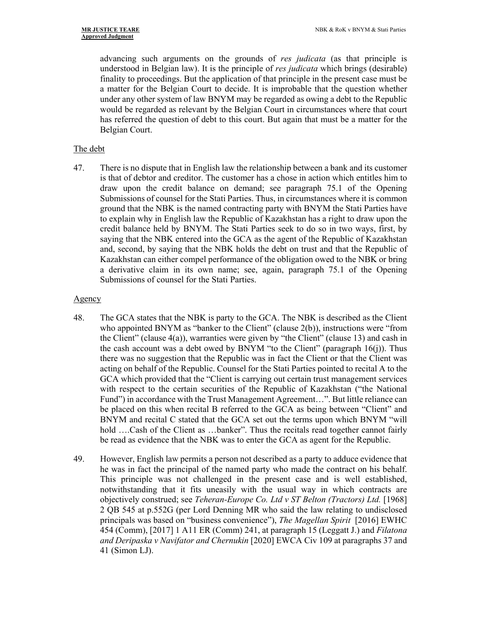advancing such arguments on the grounds of *res judicata* (as that principle is understood in Belgian law). It is the principle of *res judicata* which brings (desirable) finality to proceedings. But the application of that principle in the present case must be a matter for the Belgian Court to decide. It is improbable that the question whether under any other system of law BNYM may be regarded as owing a debt to the Republic would be regarded as relevant by the Belgian Court in circumstances where that court has referred the question of debt to this court. But again that must be a matter for the Belgian Court.

## The debt

47. There is no dispute that in English law the relationship between a bank and its customer is that of debtor and creditor. The customer has a chose in action which entitles him to draw upon the credit balance on demand; see paragraph 75.1 of the Opening Submissions of counsel for the Stati Parties. Thus, in circumstances where it is common ground that the NBK is the named contracting party with BNYM the Stati Parties have to explain why in English law the Republic of Kazakhstan has a right to draw upon the credit balance held by BNYM. The Stati Parties seek to do so in two ways, first, by saying that the NBK entered into the GCA as the agent of the Republic of Kazakhstan and, second, by saying that the NBK holds the debt on trust and that the Republic of Kazakhstan can either compel performance of the obligation owed to the NBK or bring a derivative claim in its own name; see, again, paragraph 75.1 of the Opening Submissions of counsel for the Stati Parties.

## Agency

- 48. The GCA states that the NBK is party to the GCA. The NBK is described as the Client who appointed BNYM as "banker to the Client" (clause 2(b)), instructions were "from the Client" (clause  $4(a)$ ), warranties were given by "the Client" (clause 13) and cash in the cash account was a debt owed by BNYM "to the Client" (paragraph  $16(i)$ ). Thus there was no suggestion that the Republic was in fact the Client or that the Client was acting on behalf of the Republic. Counsel for the Stati Parties pointed to recital A to the GCA which provided that the "Client is carrying out certain trust management services with respect to the certain securities of the Republic of Kazakhstan ("the National Fund") in accordance with the Trust Management Agreement…". But little reliance can be placed on this when recital B referred to the GCA as being between "Client" and BNYM and recital C stated that the GCA set out the terms upon which BNYM "will hold ....Cash of the Client as ...banker". Thus the recitals read together cannot fairly be read as evidence that the NBK was to enter the GCA as agent for the Republic.
- 49. However, English law permits a person not described as a party to adduce evidence that he was in fact the principal of the named party who made the contract on his behalf. This principle was not challenged in the present case and is well established, notwithstanding that it fits uneasily with the usual way in which contracts are objectively construed; see *Teheran-Europe Co. Ltd v ST Belton (Tractors) Ltd.* [1968] 2 QB 545 at p.552G (per Lord Denning MR who said the law relating to undisclosed principals was based on "business convenience"), *The Magellan Spirit* [2016] EWHC 454 (Comm), [2017] 1 A11 ER (Comm) 241, at paragraph 15 (Leggatt J.) and *Filatona and Deripaska v Navifator and Chernukin* [2020] EWCA Civ 109 at paragraphs 37 and 41 (Simon LJ).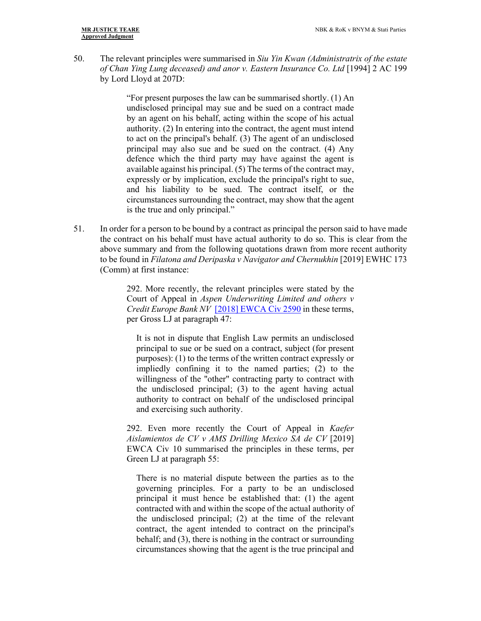50. The relevant principles were summarised in *Siu Yin Kwan (Administratrix of the estate of Chan Ying Lung deceased) and anor v. Eastern Insurance Co. Ltd* [1994] 2 AC 199 by Lord Lloyd at 207D:

> "For present purposes the law can be summarised shortly. (1) An undisclosed principal may sue and be sued on a contract made by an agent on his behalf, acting within the scope of his actual authority. (2) In entering into the contract, the agent must intend to act on the principal's behalf. (3) The agent of an undisclosed principal may also sue and be sued on the contract. (4) Any defence which the third party may have against the agent is available against his principal. (5) The terms of the contract may, expressly or by implication, exclude the principal's right to sue, and his liability to be sued. The contract itself, or the circumstances surrounding the contract, may show that the agent is the true and only principal."

51. In order for a person to be bound by a contract as principal the person said to have made the contract on his behalf must have actual authority to do so. This is clear from the above summary and from the following quotations drawn from more recent authority to be found in *Filatona and Deripaska v Navigator and Chernukhin* [2019] EWHC 173 (Comm) at first instance:

> 292. More recently, the relevant principles were stated by the Court of Appeal in *Aspen Underwriting Limited and others v Credit Europe Bank NV* [2018] EWCA Civ 2590 in these terms, per Gross LJ at paragraph 47:

It is not in dispute that English Law permits an undisclosed principal to sue or be sued on a contract, subject (for present purposes): (1) to the terms of the written contract expressly or impliedly confining it to the named parties; (2) to the willingness of the "other" contracting party to contract with the undisclosed principal; (3) to the agent having actual authority to contract on behalf of the undisclosed principal and exercising such authority.

292. Even more recently the Court of Appeal in *Kaefer Aislamientos de CV v AMS Drilling Mexico SA de CV* [2019] EWCA Civ 10 summarised the principles in these terms, per Green LJ at paragraph 55:

There is no material dispute between the parties as to the governing principles. For a party to be an undisclosed principal it must hence be established that: (1) the agent contracted with and within the scope of the actual authority of the undisclosed principal; (2) at the time of the relevant contract, the agent intended to contract on the principal's behalf; and (3), there is nothing in the contract or surrounding circumstances showing that the agent is the true principal and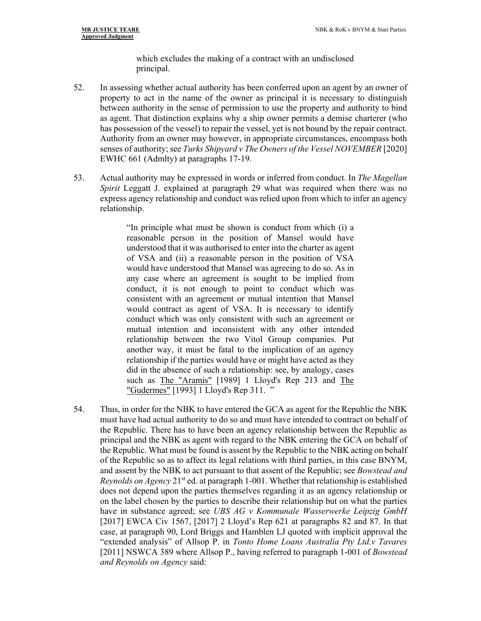which excludes the making of a contract with an undisclosed principal.

- 52. In assessing whether actual authority has been conferred upon an agent by an owner of property to act in the name of the owner as principal it is necessary to distinguish between authority in the sense of permission to use the property and authority to bind as agent. That distinction explains why a ship owner permits a demise charterer (who has possession of the vessel) to repair the vessel, yet is not bound by the repair contract. Authority from an owner may however, in appropriate circumstances, encompass both senses of authority; see *Turks Shipyard v The Owners of the Vessel NOVEMBER* [2020] EWHC 661 (Admlty) at paragraphs 17-19.
- 53. Actual authority may be expressed in words or inferred from conduct. In *The Magellan Spirit* Leggatt J. explained at paragraph 29 what was required when there was no express agency relationship and conduct was relied upon from which to infer an agency relationship.

"In principle what must be shown is conduct from which (i) a reasonable person in the position of Mansel would have understood that it was authorised to enter into the charter as agent of VSA and (ii) a reasonable person in the position of VSA would have understood that Mansel was agreeing to do so. As in any case where an agreement is sought to be implied from conduct, it is not enough to point to conduct which was consistent with an agreement or mutual intention that Mansel would contract as agent of VSA. It is necessary to identify conduct which was only consistent with such an agreement or mutual intention and inconsistent with any other intended relationship between the two Vitol Group companies. Put another way, it must be fatal to the implication of an agency relationship if the parties would have or might have acted as they did in the absence of such a relationship: see, by analogy, cases such as The "Aramis" [1989] 1 Lloyd's Rep 213 and The "Gudermes" [1993] 1 Lloyd's Rep 311. "

54. Thus, in order for the NBK to have entered the GCA as agent for the Republic the NBK must have had actual authority to do so and must have intended to contract on behalf of the Republic. There has to have been an agency relationship between the Republic as principal and the NBK as agent with regard to the NBK entering the GCA on behalf of the Republic. What must be found is assent by the Republic to the NBK acting on behalf of the Republic so as to affect its legal relations with third parties, in this case BNYM, and assent by the NBK to act pursuant to that assent of the Republic; see *Bowstead and Reynolds on Agency* 21<sup>st</sup> ed. at paragraph 1-001. Whether that relationship is established does not depend upon the parties themselves regarding it as an agency relationship or on the label chosen by the parties to describe their relationship but on what the parties have in substance agreed; see *UBS AG v Kommunale Wasserwerke Leipzig GmbH* [2017] EWCA Civ 1567, [2017] 2 Lloyd's Rep 621 at paragraphs 82 and 87. In that case, at paragraph 90, Lord Briggs and Hamblen LJ quoted with implicit approval the "extended analysis" of Allsop P. in *Tonto Home Loans Australia Pty Ltd.v Tavares* [2011] NSWCA 389 where Allsop P., having referred to paragraph 1-001 of *Bowstead and Reynolds on Agency* said: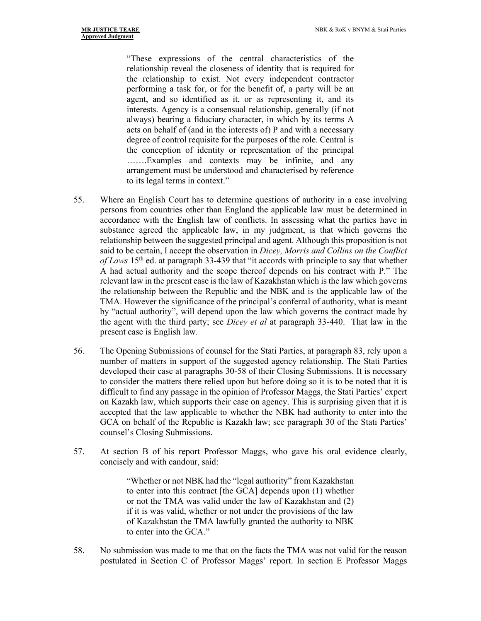"These expressions of the central characteristics of the relationship reveal the closeness of identity that is required for the relationship to exist. Not every independent contractor performing a task for, or for the benefit of, a party will be an agent, and so identified as it, or as representing it, and its interests. Agency is a consensual relationship, generally (if not always) bearing a fiduciary character, in which by its terms A acts on behalf of (and in the interests of) P and with a necessary degree of control requisite for the purposes of the role. Central is the conception of identity or representation of the principal …….Examples and contexts may be infinite, and any arrangement must be understood and characterised by reference to its legal terms in context."

- 55. Where an English Court has to determine questions of authority in a case involving persons from countries other than England the applicable law must be determined in accordance with the English law of conflicts. In assessing what the parties have in substance agreed the applicable law, in my judgment, is that which governs the relationship between the suggested principal and agent. Although this proposition is not said to be certain, I accept the observation in *Dicey, Morris and Collins on the Conflict of Laws* 15th ed. at paragraph 33-439 that "it accords with principle to say that whether A had actual authority and the scope thereof depends on his contract with P." The relevant law in the present case is the law of Kazakhstan which is the law which governs the relationship between the Republic and the NBK and is the applicable law of the TMA. However the significance of the principal's conferral of authority, what is meant by "actual authority", will depend upon the law which governs the contract made by the agent with the third party; see *Dicey et al* at paragraph 33-440. That law in the present case is English law.
- 56. The Opening Submissions of counsel for the Stati Parties, at paragraph 83, rely upon a number of matters in support of the suggested agency relationship. The Stati Parties developed their case at paragraphs 30-58 of their Closing Submissions. It is necessary to consider the matters there relied upon but before doing so it is to be noted that it is difficult to find any passage in the opinion of Professor Maggs, the Stati Parties' expert on Kazakh law, which supports their case on agency. This is surprising given that it is accepted that the law applicable to whether the NBK had authority to enter into the GCA on behalf of the Republic is Kazakh law; see paragraph 30 of the Stati Parties' counsel's Closing Submissions.
- 57. At section B of his report Professor Maggs, who gave his oral evidence clearly, concisely and with candour, said:

"Whether or not NBK had the "legal authority" from Kazakhstan to enter into this contract [the GCA] depends upon (1) whether or not the TMA was valid under the law of Kazakhstan and (2) if it is was valid, whether or not under the provisions of the law of Kazakhstan the TMA lawfully granted the authority to NBK to enter into the GCA."

58. No submission was made to me that on the facts the TMA was not valid for the reason postulated in Section C of Professor Maggs' report. In section E Professor Maggs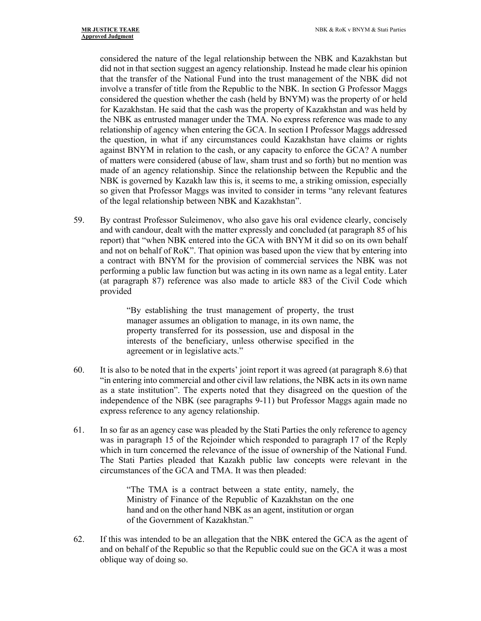considered the nature of the legal relationship between the NBK and Kazakhstan but did not in that section suggest an agency relationship. Instead he made clear his opinion that the transfer of the National Fund into the trust management of the NBK did not involve a transfer of title from the Republic to the NBK. In section G Professor Maggs considered the question whether the cash (held by BNYM) was the property of or held for Kazakhstan. He said that the cash was the property of Kazakhstan and was held by the NBK as entrusted manager under the TMA. No express reference was made to any relationship of agency when entering the GCA. In section I Professor Maggs addressed the question, in what if any circumstances could Kazakhstan have claims or rights against BNYM in relation to the cash, or any capacity to enforce the GCA? A number of matters were considered (abuse of law, sham trust and so forth) but no mention was made of an agency relationship. Since the relationship between the Republic and the NBK is governed by Kazakh law this is, it seems to me, a striking omission, especially so given that Professor Maggs was invited to consider in terms "any relevant features of the legal relationship between NBK and Kazakhstan".

59. By contrast Professor Suleimenov, who also gave his oral evidence clearly, concisely and with candour, dealt with the matter expressly and concluded (at paragraph 85 of his report) that "when NBK entered into the GCA with BNYM it did so on its own behalf and not on behalf of RoK". That opinion was based upon the view that by entering into a contract with BNYM for the provision of commercial services the NBK was not performing a public law function but was acting in its own name as a legal entity. Later (at paragraph 87) reference was also made to article 883 of the Civil Code which provided

> "By establishing the trust management of property, the trust manager assumes an obligation to manage, in its own name, the property transferred for its possession, use and disposal in the interests of the beneficiary, unless otherwise specified in the agreement or in legislative acts."

- 60. It is also to be noted that in the experts' joint report it was agreed (at paragraph 8.6) that "in entering into commercial and other civil law relations, the NBK acts in its own name as a state institution". The experts noted that they disagreed on the question of the independence of the NBK (see paragraphs 9-11) but Professor Maggs again made no express reference to any agency relationship.
- 61. In so far as an agency case was pleaded by the Stati Parties the only reference to agency was in paragraph 15 of the Rejoinder which responded to paragraph 17 of the Reply which in turn concerned the relevance of the issue of ownership of the National Fund. The Stati Parties pleaded that Kazakh public law concepts were relevant in the circumstances of the GCA and TMA. It was then pleaded:

"The TMA is a contract between a state entity, namely, the Ministry of Finance of the Republic of Kazakhstan on the one hand and on the other hand NBK as an agent, institution or organ of the Government of Kazakhstan."

62. If this was intended to be an allegation that the NBK entered the GCA as the agent of and on behalf of the Republic so that the Republic could sue on the GCA it was a most oblique way of doing so.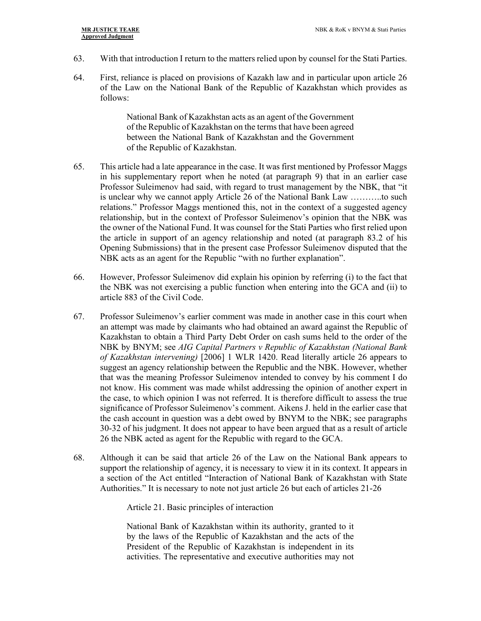- 63. With that introduction I return to the matters relied upon by counsel for the Stati Parties.
- 64. First, reliance is placed on provisions of Kazakh law and in particular upon article 26 of the Law on the National Bank of the Republic of Kazakhstan which provides as follows:

National Bank of Kazakhstan acts as an agent of the Government of the Republic of Kazakhstan on the terms that have been agreed between the National Bank of Kazakhstan and the Government of the Republic of Kazakhstan.

- 65. This article had a late appearance in the case. It was first mentioned by Professor Maggs in his supplementary report when he noted (at paragraph 9) that in an earlier case Professor Suleimenov had said, with regard to trust management by the NBK, that "it is unclear why we cannot apply Article 26 of the National Bank Law ………..to such relations." Professor Maggs mentioned this, not in the context of a suggested agency relationship, but in the context of Professor Suleimenov's opinion that the NBK was the owner of the National Fund. It was counsel for the Stati Parties who first relied upon the article in support of an agency relationship and noted (at paragraph 83.2 of his Opening Submissions) that in the present case Professor Suleimenov disputed that the NBK acts as an agent for the Republic "with no further explanation".
- 66. However, Professor Suleimenov did explain his opinion by referring (i) to the fact that the NBK was not exercising a public function when entering into the GCA and (ii) to article 883 of the Civil Code.
- 67. Professor Suleimenov's earlier comment was made in another case in this court when an attempt was made by claimants who had obtained an award against the Republic of Kazakhstan to obtain a Third Party Debt Order on cash sums held to the order of the NBK by BNYM; see *AIG Capital Partners v Republic of Kazakhstan (National Bank of Kazakhstan intervening)* [2006] 1 WLR 1420. Read literally article 26 appears to suggest an agency relationship between the Republic and the NBK. However, whether that was the meaning Professor Suleimenov intended to convey by his comment I do not know. His comment was made whilst addressing the opinion of another expert in the case, to which opinion I was not referred. It is therefore difficult to assess the true significance of Professor Suleimenov's comment. Aikens J. held in the earlier case that the cash account in question was a debt owed by BNYM to the NBK; see paragraphs 30-32 of his judgment. It does not appear to have been argued that as a result of article 26 the NBK acted as agent for the Republic with regard to the GCA.
- 68. Although it can be said that article 26 of the Law on the National Bank appears to support the relationship of agency, it is necessary to view it in its context. It appears in a section of the Act entitled "Interaction of National Bank of Kazakhstan with State Authorities." It is necessary to note not just article 26 but each of articles 21-26

Article 21. Basic principles of interaction

National Bank of Kazakhstan within its authority, granted to it by the laws of the Republic of Kazakhstan and the acts of the President of the Republic of Kazakhstan is independent in its activities. The representative and executive authorities may not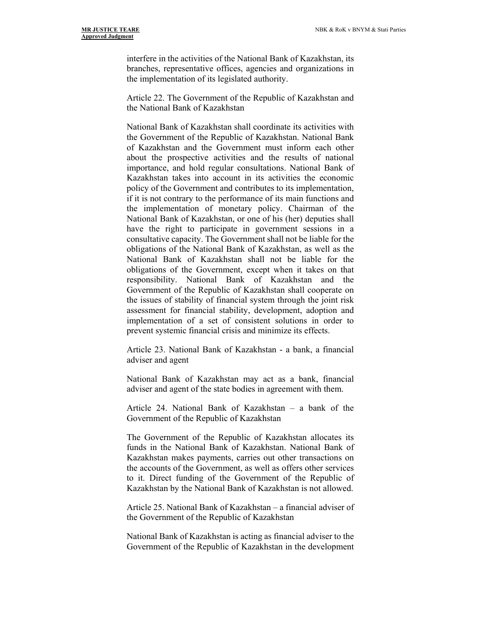interfere in the activities of the National Bank of Kazakhstan, its branches, representative offices, agencies and organizations in the implementation of its legislated authority.

Article 22. The Government of the Republic of Kazakhstan and the National Bank of Kazakhstan

National Bank of Kazakhstan shall coordinate its activities with the Government of the Republic of Kazakhstan. National Bank of Kazakhstan and the Government must inform each other about the prospective activities and the results of national importance, and hold regular consultations. National Bank of Kazakhstan takes into account in its activities the economic policy of the Government and contributes to its implementation, if it is not contrary to the performance of its main functions and the implementation of monetary policy. Chairman of the National Bank of Kazakhstan, or one of his (her) deputies shall have the right to participate in government sessions in a consultative capacity. The Government shall not be liable for the obligations of the National Bank of Kazakhstan, as well as the National Bank of Kazakhstan shall not be liable for the obligations of the Government, except when it takes on that responsibility. National Bank of Kazakhstan and the Government of the Republic of Kazakhstan shall cooperate on the issues of stability of financial system through the joint risk assessment for financial stability, development, adoption and implementation of a set of consistent solutions in order to prevent systemic financial crisis and minimize its effects.

Article 23. National Bank of Kazakhstan - a bank, a financial adviser and agent

National Bank of Kazakhstan may act as a bank, financial adviser and agent of the state bodies in agreement with them.

Article 24. National Bank of Kazakhstan – a bank of the Government of the Republic of Kazakhstan

The Government of the Republic of Kazakhstan allocates its funds in the National Bank of Kazakhstan. National Bank of Kazakhstan makes payments, carries out other transactions on the accounts of the Government, as well as offers other services to it. Direct funding of the Government of the Republic of Kazakhstan by the National Bank of Kazakhstan is not allowed.

Article 25. National Bank of Kazakhstan – a financial adviser of the Government of the Republic of Kazakhstan

National Bank of Kazakhstan is acting as financial adviser to the Government of the Republic of Kazakhstan in the development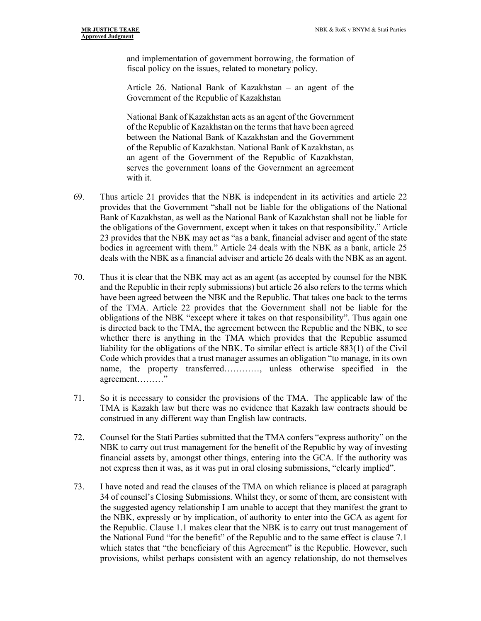and implementation of government borrowing, the formation of fiscal policy on the issues, related to monetary policy.

Article 26. National Bank of Kazakhstan – an agent of the Government of the Republic of Kazakhstan

National Bank of Kazakhstan acts as an agent of the Government of the Republic of Kazakhstan on the terms that have been agreed between the National Bank of Kazakhstan and the Government of the Republic of Kazakhstan. National Bank of Kazakhstan, as an agent of the Government of the Republic of Kazakhstan, serves the government loans of the Government an agreement with it.

- 69. Thus article 21 provides that the NBK is independent in its activities and article 22 provides that the Government "shall not be liable for the obligations of the National Bank of Kazakhstan, as well as the National Bank of Kazakhstan shall not be liable for the obligations of the Government, except when it takes on that responsibility." Article 23 provides that the NBK may act as "as a bank, financial adviser and agent of the state bodies in agreement with them." Article 24 deals with the NBK as a bank, article 25 deals with the NBK as a financial adviser and article 26 deals with the NBK as an agent.
- 70. Thus it is clear that the NBK may act as an agent (as accepted by counsel for the NBK and the Republic in their reply submissions) but article 26 also refers to the terms which have been agreed between the NBK and the Republic. That takes one back to the terms of the TMA. Article 22 provides that the Government shall not be liable for the obligations of the NBK "except where it takes on that responsibility". Thus again one is directed back to the TMA, the agreement between the Republic and the NBK, to see whether there is anything in the TMA which provides that the Republic assumed liability for the obligations of the NBK. To similar effect is article 883(1) of the Civil Code which provides that a trust manager assumes an obligation "to manage, in its own name, the property transferred…………, unless otherwise specified in the agreement………"
- 71. So it is necessary to consider the provisions of the TMA. The applicable law of the TMA is Kazakh law but there was no evidence that Kazakh law contracts should be construed in any different way than English law contracts.
- 72. Counsel for the Stati Parties submitted that the TMA confers "express authority" on the NBK to carry out trust management for the benefit of the Republic by way of investing financial assets by, amongst other things, entering into the GCA. If the authority was not express then it was, as it was put in oral closing submissions, "clearly implied".
- 73. I have noted and read the clauses of the TMA on which reliance is placed at paragraph 34 of counsel's Closing Submissions. Whilst they, or some of them, are consistent with the suggested agency relationship I am unable to accept that they manifest the grant to the NBK, expressly or by implication, of authority to enter into the GCA as agent for the Republic. Clause 1.1 makes clear that the NBK is to carry out trust management of the National Fund "for the benefit" of the Republic and to the same effect is clause 7.1 which states that "the beneficiary of this Agreement" is the Republic. However, such provisions, whilst perhaps consistent with an agency relationship, do not themselves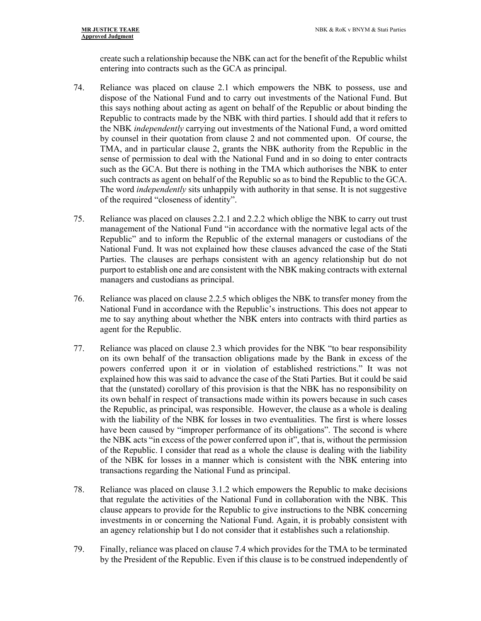create such a relationship because the NBK can act for the benefit of the Republic whilst entering into contracts such as the GCA as principal.

- 74. Reliance was placed on clause 2.1 which empowers the NBK to possess, use and dispose of the National Fund and to carry out investments of the National Fund. But this says nothing about acting as agent on behalf of the Republic or about binding the Republic to contracts made by the NBK with third parties. I should add that it refers to the NBK *independently* carrying out investments of the National Fund, a word omitted by counsel in their quotation from clause 2 and not commented upon. Of course, the TMA, and in particular clause 2, grants the NBK authority from the Republic in the sense of permission to deal with the National Fund and in so doing to enter contracts such as the GCA. But there is nothing in the TMA which authorises the NBK to enter such contracts as agent on behalf of the Republic so as to bind the Republic to the GCA. The word *independently* sits unhappily with authority in that sense. It is not suggestive of the required "closeness of identity".
- 75. Reliance was placed on clauses 2.2.1 and 2.2.2 which oblige the NBK to carry out trust management of the National Fund "in accordance with the normative legal acts of the Republic" and to inform the Republic of the external managers or custodians of the National Fund. It was not explained how these clauses advanced the case of the Stati Parties. The clauses are perhaps consistent with an agency relationship but do not purport to establish one and are consistent with the NBK making contracts with external managers and custodians as principal.
- 76. Reliance was placed on clause 2.2.5 which obliges the NBK to transfer money from the National Fund in accordance with the Republic's instructions. This does not appear to me to say anything about whether the NBK enters into contracts with third parties as agent for the Republic.
- 77. Reliance was placed on clause 2.3 which provides for the NBK "to bear responsibility on its own behalf of the transaction obligations made by the Bank in excess of the powers conferred upon it or in violation of established restrictions." It was not explained how this was said to advance the case of the Stati Parties. But it could be said that the (unstated) corollary of this provision is that the NBK has no responsibility on its own behalf in respect of transactions made within its powers because in such cases the Republic, as principal, was responsible. However, the clause as a whole is dealing with the liability of the NBK for losses in two eventualities. The first is where losses have been caused by "improper performance of its obligations". The second is where the NBK acts "in excess of the power conferred upon it", that is, without the permission of the Republic. I consider that read as a whole the clause is dealing with the liability of the NBK for losses in a manner which is consistent with the NBK entering into transactions regarding the National Fund as principal.
- 78. Reliance was placed on clause 3.1.2 which empowers the Republic to make decisions that regulate the activities of the National Fund in collaboration with the NBK. This clause appears to provide for the Republic to give instructions to the NBK concerning investments in or concerning the National Fund. Again, it is probably consistent with an agency relationship but I do not consider that it establishes such a relationship.
- 79. Finally, reliance was placed on clause 7.4 which provides for the TMA to be terminated by the President of the Republic. Even if this clause is to be construed independently of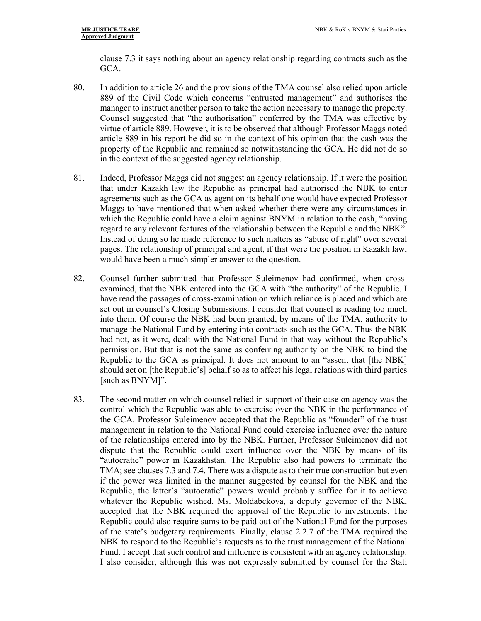clause 7.3 it says nothing about an agency relationship regarding contracts such as the GCA.

- 80. In addition to article 26 and the provisions of the TMA counsel also relied upon article 889 of the Civil Code which concerns "entrusted management" and authorises the manager to instruct another person to take the action necessary to manage the property. Counsel suggested that "the authorisation" conferred by the TMA was effective by virtue of article 889. However, it is to be observed that although Professor Maggs noted article 889 in his report he did so in the context of his opinion that the cash was the property of the Republic and remained so notwithstanding the GCA. He did not do so in the context of the suggested agency relationship.
- 81. Indeed, Professor Maggs did not suggest an agency relationship. If it were the position that under Kazakh law the Republic as principal had authorised the NBK to enter agreements such as the GCA as agent on its behalf one would have expected Professor Maggs to have mentioned that when asked whether there were any circumstances in which the Republic could have a claim against BNYM in relation to the cash, "having regard to any relevant features of the relationship between the Republic and the NBK". Instead of doing so he made reference to such matters as "abuse of right" over several pages. The relationship of principal and agent, if that were the position in Kazakh law, would have been a much simpler answer to the question.
- 82. Counsel further submitted that Professor Suleimenov had confirmed, when crossexamined, that the NBK entered into the GCA with "the authority" of the Republic. I have read the passages of cross-examination on which reliance is placed and which are set out in counsel's Closing Submissions. I consider that counsel is reading too much into them. Of course the NBK had been granted, by means of the TMA, authority to manage the National Fund by entering into contracts such as the GCA. Thus the NBK had not, as it were, dealt with the National Fund in that way without the Republic's permission. But that is not the same as conferring authority on the NBK to bind the Republic to the GCA as principal. It does not amount to an "assent that [the NBK] should act on [the Republic's] behalf so as to affect his legal relations with third parties [such as BNYM]".
- 83. The second matter on which counsel relied in support of their case on agency was the control which the Republic was able to exercise over the NBK in the performance of the GCA. Professor Suleimenov accepted that the Republic as "founder" of the trust management in relation to the National Fund could exercise influence over the nature of the relationships entered into by the NBK. Further, Professor Suleimenov did not dispute that the Republic could exert influence over the NBK by means of its "autocratic" power in Kazakhstan. The Republic also had powers to terminate the TMA; see clauses 7.3 and 7.4. There was a dispute as to their true construction but even if the power was limited in the manner suggested by counsel for the NBK and the Republic, the latter's "autocratic" powers would probably suffice for it to achieve whatever the Republic wished. Ms. Moldabekova, a deputy governor of the NBK, accepted that the NBK required the approval of the Republic to investments. The Republic could also require sums to be paid out of the National Fund for the purposes of the state's budgetary requirements. Finally, clause 2.2.7 of the TMA required the NBK to respond to the Republic's requests as to the trust management of the National Fund. I accept that such control and influence is consistent with an agency relationship. I also consider, although this was not expressly submitted by counsel for the Stati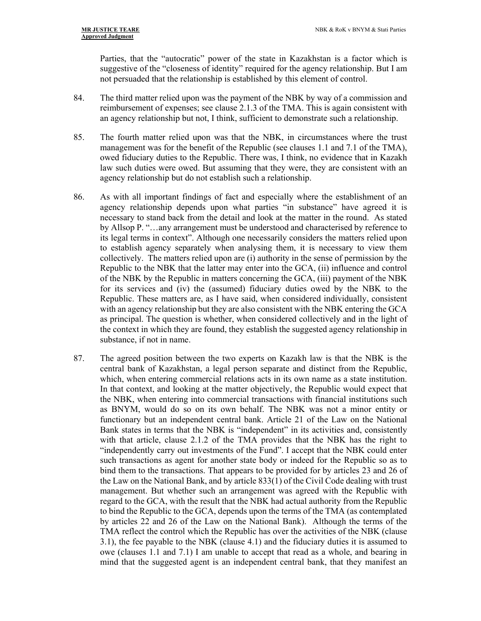Parties, that the "autocratic" power of the state in Kazakhstan is a factor which is suggestive of the "closeness of identity" required for the agency relationship. But I am not persuaded that the relationship is established by this element of control.

- 84. The third matter relied upon was the payment of the NBK by way of a commission and reimbursement of expenses; see clause 2.1.3 of the TMA. This is again consistent with an agency relationship but not, I think, sufficient to demonstrate such a relationship.
- 85. The fourth matter relied upon was that the NBK, in circumstances where the trust management was for the benefit of the Republic (see clauses 1.1 and 7.1 of the TMA), owed fiduciary duties to the Republic. There was, I think, no evidence that in Kazakh law such duties were owed. But assuming that they were, they are consistent with an agency relationship but do not establish such a relationship.
- 86. As with all important findings of fact and especially where the establishment of an agency relationship depends upon what parties "in substance" have agreed it is necessary to stand back from the detail and look at the matter in the round. As stated by Allsop P. "…any arrangement must be understood and characterised by reference to its legal terms in context". Although one necessarily considers the matters relied upon to establish agency separately when analysing them, it is necessary to view them collectively. The matters relied upon are (i) authority in the sense of permission by the Republic to the NBK that the latter may enter into the GCA, (ii) influence and control of the NBK by the Republic in matters concerning the GCA, (iii) payment of the NBK for its services and (iv) the (assumed) fiduciary duties owed by the NBK to the Republic. These matters are, as I have said, when considered individually, consistent with an agency relationship but they are also consistent with the NBK entering the GCA as principal. The question is whether, when considered collectively and in the light of the context in which they are found, they establish the suggested agency relationship in substance, if not in name.
- 87. The agreed position between the two experts on Kazakh law is that the NBK is the central bank of Kazakhstan, a legal person separate and distinct from the Republic, which, when entering commercial relations acts in its own name as a state institution. In that context, and looking at the matter objectively, the Republic would expect that the NBK, when entering into commercial transactions with financial institutions such as BNYM, would do so on its own behalf. The NBK was not a minor entity or functionary but an independent central bank. Article 21 of the Law on the National Bank states in terms that the NBK is "independent" in its activities and, consistently with that article, clause 2.1.2 of the TMA provides that the NBK has the right to "independently carry out investments of the Fund". I accept that the NBK could enter such transactions as agent for another state body or indeed for the Republic so as to bind them to the transactions. That appears to be provided for by articles 23 and 26 of the Law on the National Bank, and by article 833(1) of the Civil Code dealing with trust management. But whether such an arrangement was agreed with the Republic with regard to the GCA, with the result that the NBK had actual authority from the Republic to bind the Republic to the GCA, depends upon the terms of the TMA (as contemplated by articles 22 and 26 of the Law on the National Bank). Although the terms of the TMA reflect the control which the Republic has over the activities of the NBK (clause 3.1), the fee payable to the NBK (clause 4.1) and the fiduciary duties it is assumed to owe (clauses 1.1 and 7.1) I am unable to accept that read as a whole, and bearing in mind that the suggested agent is an independent central bank, that they manifest an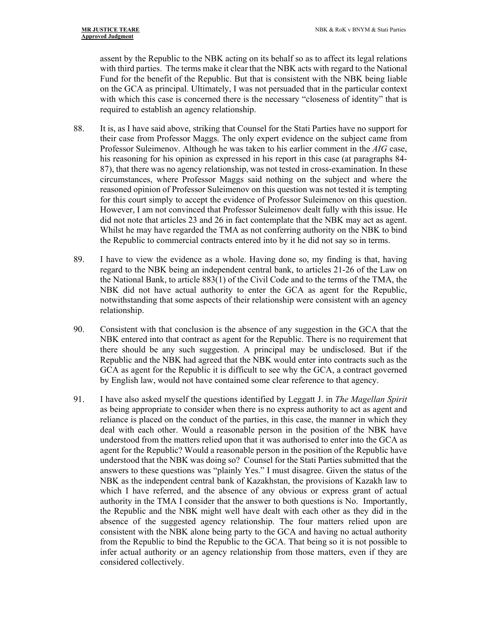assent by the Republic to the NBK acting on its behalf so as to affect its legal relations with third parties. The terms make it clear that the NBK acts with regard to the National Fund for the benefit of the Republic. But that is consistent with the NBK being liable on the GCA as principal. Ultimately, I was not persuaded that in the particular context with which this case is concerned there is the necessary "closeness of identity" that is required to establish an agency relationship.

- 88. It is, as I have said above, striking that Counsel for the Stati Parties have no support for their case from Professor Maggs. The only expert evidence on the subject came from Professor Suleimenov. Although he was taken to his earlier comment in the *AIG* case, his reasoning for his opinion as expressed in his report in this case (at paragraphs 84- 87), that there was no agency relationship, was not tested in cross-examination. In these circumstances, where Professor Maggs said nothing on the subject and where the reasoned opinion of Professor Suleimenov on this question was not tested it is tempting for this court simply to accept the evidence of Professor Suleimenov on this question. However, I am not convinced that Professor Suleimenov dealt fully with this issue. He did not note that articles 23 and 26 in fact contemplate that the NBK may act as agent. Whilst he may have regarded the TMA as not conferring authority on the NBK to bind the Republic to commercial contracts entered into by it he did not say so in terms.
- 89. I have to view the evidence as a whole. Having done so, my finding is that, having regard to the NBK being an independent central bank, to articles 21-26 of the Law on the National Bank, to article 883(1) of the Civil Code and to the terms of the TMA, the NBK did not have actual authority to enter the GCA as agent for the Republic, notwithstanding that some aspects of their relationship were consistent with an agency relationship.
- 90. Consistent with that conclusion is the absence of any suggestion in the GCA that the NBK entered into that contract as agent for the Republic. There is no requirement that there should be any such suggestion. A principal may be undisclosed. But if the Republic and the NBK had agreed that the NBK would enter into contracts such as the GCA as agent for the Republic it is difficult to see why the GCA, a contract governed by English law, would not have contained some clear reference to that agency.
- 91. I have also asked myself the questions identified by Leggatt J. in *The Magellan Spirit*  as being appropriate to consider when there is no express authority to act as agent and reliance is placed on the conduct of the parties, in this case, the manner in which they deal with each other. Would a reasonable person in the position of the NBK have understood from the matters relied upon that it was authorised to enter into the GCA as agent for the Republic? Would a reasonable person in the position of the Republic have understood that the NBK was doing so? Counsel for the Stati Parties submitted that the answers to these questions was "plainly Yes." I must disagree. Given the status of the NBK as the independent central bank of Kazakhstan, the provisions of Kazakh law to which I have referred, and the absence of any obvious or express grant of actual authority in the TMA I consider that the answer to both questions is No. Importantly, the Republic and the NBK might well have dealt with each other as they did in the absence of the suggested agency relationship. The four matters relied upon are consistent with the NBK alone being party to the GCA and having no actual authority from the Republic to bind the Republic to the GCA. That being so it is not possible to infer actual authority or an agency relationship from those matters, even if they are considered collectively.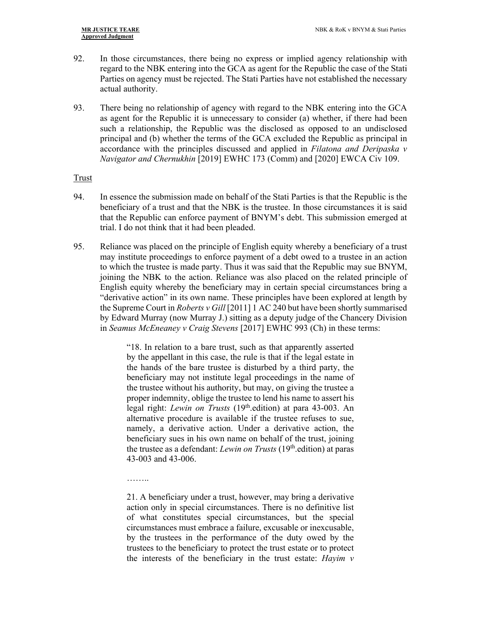- 92. In those circumstances, there being no express or implied agency relationship with regard to the NBK entering into the GCA as agent for the Republic the case of the Stati Parties on agency must be rejected. The Stati Parties have not established the necessary actual authority.
- 93. There being no relationship of agency with regard to the NBK entering into the GCA as agent for the Republic it is unnecessary to consider (a) whether, if there had been such a relationship, the Republic was the disclosed as opposed to an undisclosed principal and (b) whether the terms of the GCA excluded the Republic as principal in accordance with the principles discussed and applied in *Filatona and Deripaska v Navigator and Chernukhin* [2019] EWHC 173 (Comm) and [2020] EWCA Civ 109.

#### Trust

- 94. In essence the submission made on behalf of the Stati Parties is that the Republic is the beneficiary of a trust and that the NBK is the trustee. In those circumstances it is said that the Republic can enforce payment of BNYM's debt. This submission emerged at trial. I do not think that it had been pleaded.
- 95. Reliance was placed on the principle of English equity whereby a beneficiary of a trust may institute proceedings to enforce payment of a debt owed to a trustee in an action to which the trustee is made party. Thus it was said that the Republic may sue BNYM, joining the NBK to the action. Reliance was also placed on the related principle of English equity whereby the beneficiary may in certain special circumstances bring a "derivative action" in its own name. These principles have been explored at length by the Supreme Court in *Roberts v Gill* [2011] 1 AC 240 but have been shortly summarised by Edward Murray (now Murray J.) sitting as a deputy judge of the Chancery Division in *Seamus McEneaney v Craig Stevens* [2017] EWHC 993 (Ch) in these terms:

"18. In relation to a bare trust, such as that apparently asserted by the appellant in this case, the rule is that if the legal estate in the hands of the bare trustee is disturbed by a third party, the beneficiary may not institute legal proceedings in the name of the trustee without his authority, but may, on giving the trustee a proper indemnity, oblige the trustee to lend his name to assert his legal right: *Lewin on Trusts* (19th.edition) at para 43-003. An alternative procedure is available if the trustee refuses to sue, namely, a derivative action. Under a derivative action, the beneficiary sues in his own name on behalf of the trust, joining the trustee as a defendant: *Lewin on Trusts* (19th.edition) at paras 43-003 and 43-006.

………

21. A beneficiary under a trust, however, may bring a derivative action only in special circumstances. There is no definitive list of what constitutes special circumstances, but the special circumstances must embrace a failure, excusable or inexcusable, by the trustees in the performance of the duty owed by the trustees to the beneficiary to protect the trust estate or to protect the interests of the beneficiary in the trust estate: *Hayim v*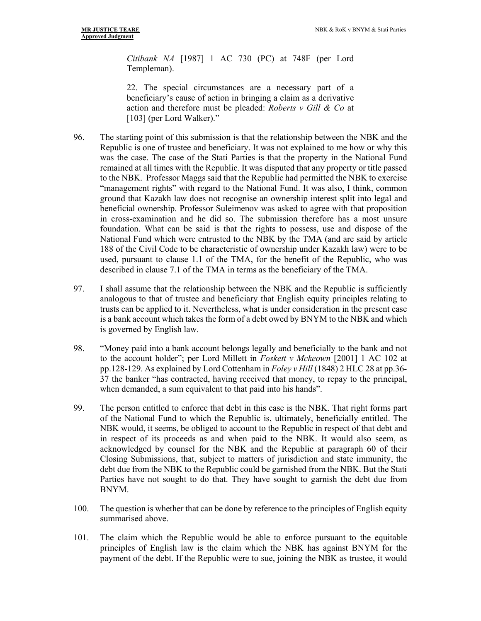*Citibank NA* [1987] 1 AC 730 (PC) at 748F (per Lord Templeman).

22. The special circumstances are a necessary part of a beneficiary's cause of action in bringing a claim as a derivative action and therefore must be pleaded: *Roberts v Gill & Co* at [103] (per Lord Walker)."

- 96. The starting point of this submission is that the relationship between the NBK and the Republic is one of trustee and beneficiary. It was not explained to me how or why this was the case. The case of the Stati Parties is that the property in the National Fund remained at all times with the Republic. It was disputed that any property or title passed to the NBK. Professor Maggs said that the Republic had permitted the NBK to exercise "management rights" with regard to the National Fund. It was also, I think, common ground that Kazakh law does not recognise an ownership interest split into legal and beneficial ownership. Professor Suleimenov was asked to agree with that proposition in cross-examination and he did so. The submission therefore has a most unsure foundation. What can be said is that the rights to possess, use and dispose of the National Fund which were entrusted to the NBK by the TMA (and are said by article 188 of the Civil Code to be characteristic of ownership under Kazakh law) were to be used, pursuant to clause 1.1 of the TMA, for the benefit of the Republic, who was described in clause 7.1 of the TMA in terms as the beneficiary of the TMA.
- 97. I shall assume that the relationship between the NBK and the Republic is sufficiently analogous to that of trustee and beneficiary that English equity principles relating to trusts can be applied to it. Nevertheless, what is under consideration in the present case is a bank account which takes the form of a debt owed by BNYM to the NBK and which is governed by English law.
- 98. "Money paid into a bank account belongs legally and beneficially to the bank and not to the account holder"; per Lord Millett in *Foskett v Mckeown* [2001] 1 AC 102 at pp.128-129. As explained by Lord Cottenham in *Foley v Hill* (1848) 2 HLC 28 at pp.36- 37 the banker "has contracted, having received that money, to repay to the principal, when demanded, a sum equivalent to that paid into his hands".
- 99. The person entitled to enforce that debt in this case is the NBK. That right forms part of the National Fund to which the Republic is, ultimately, beneficially entitled. The NBK would, it seems, be obliged to account to the Republic in respect of that debt and in respect of its proceeds as and when paid to the NBK. It would also seem, as acknowledged by counsel for the NBK and the Republic at paragraph 60 of their Closing Submissions, that, subject to matters of jurisdiction and state immunity, the debt due from the NBK to the Republic could be garnished from the NBK. But the Stati Parties have not sought to do that. They have sought to garnish the debt due from BNYM.
- 100. The question is whether that can be done by reference to the principles of English equity summarised above.
- 101. The claim which the Republic would be able to enforce pursuant to the equitable principles of English law is the claim which the NBK has against BNYM for the payment of the debt. If the Republic were to sue, joining the NBK as trustee, it would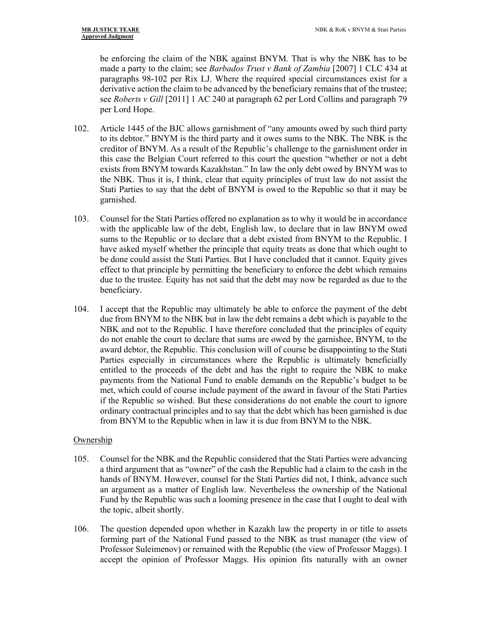be enforcing the claim of the NBK against BNYM. That is why the NBK has to be made a party to the claim; see *Barbados Trust v Bank of Zambia* [2007] 1 CLC 434 at paragraphs 98-102 per Rix LJ. Where the required special circumstances exist for a derivative action the claim to be advanced by the beneficiary remains that of the trustee; see *Roberts v Gill* [2011] 1 AC 240 at paragraph 62 per Lord Collins and paragraph 79 per Lord Hope.

- 102. Article 1445 of the BJC allows garnishment of "any amounts owed by such third party to its debtor." BNYM is the third party and it owes sums to the NBK. The NBK is the creditor of BNYM. As a result of the Republic's challenge to the garnishment order in this case the Belgian Court referred to this court the question "whether or not a debt exists from BNYM towards Kazakhstan." In law the only debt owed by BNYM was to the NBK. Thus it is, I think, clear that equity principles of trust law do not assist the Stati Parties to say that the debt of BNYM is owed to the Republic so that it may be garnished.
- 103. Counsel for the Stati Parties offered no explanation as to why it would be in accordance with the applicable law of the debt, English law, to declare that in law BNYM owed sums to the Republic or to declare that a debt existed from BNYM to the Republic. I have asked myself whether the principle that equity treats as done that which ought to be done could assist the Stati Parties. But I have concluded that it cannot. Equity gives effect to that principle by permitting the beneficiary to enforce the debt which remains due to the trustee. Equity has not said that the debt may now be regarded as due to the beneficiary.
- 104. I accept that the Republic may ultimately be able to enforce the payment of the debt due from BNYM to the NBK but in law the debt remains a debt which is payable to the NBK and not to the Republic. I have therefore concluded that the principles of equity do not enable the court to declare that sums are owed by the garnishee, BNYM, to the award debtor, the Republic. This conclusion will of course be disappointing to the Stati Parties especially in circumstances where the Republic is ultimately beneficially entitled to the proceeds of the debt and has the right to require the NBK to make payments from the National Fund to enable demands on the Republic's budget to be met, which could of course include payment of the award in favour of the Stati Parties if the Republic so wished. But these considerations do not enable the court to ignore ordinary contractual principles and to say that the debt which has been garnished is due from BNYM to the Republic when in law it is due from BNYM to the NBK.

## **Ownership**

- 105. Counsel for the NBK and the Republic considered that the Stati Parties were advancing a third argument that as "owner" of the cash the Republic had a claim to the cash in the hands of BNYM. However, counsel for the Stati Parties did not, I think, advance such an argument as a matter of English law. Nevertheless the ownership of the National Fund by the Republic was such a looming presence in the case that I ought to deal with the topic, albeit shortly.
- 106. The question depended upon whether in Kazakh law the property in or title to assets forming part of the National Fund passed to the NBK as trust manager (the view of Professor Suleimenov) or remained with the Republic (the view of Professor Maggs). I accept the opinion of Professor Maggs. His opinion fits naturally with an owner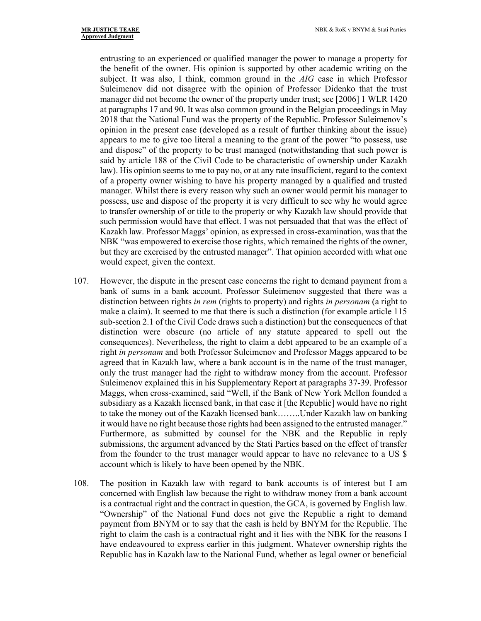entrusting to an experienced or qualified manager the power to manage a property for the benefit of the owner. His opinion is supported by other academic writing on the subject. It was also, I think, common ground in the *AIG* case in which Professor Suleimenov did not disagree with the opinion of Professor Didenko that the trust manager did not become the owner of the property under trust; see [2006] 1 WLR 1420 at paragraphs 17 and 90. It was also common ground in the Belgian proceedings in May 2018 that the National Fund was the property of the Republic. Professor Suleimenov's opinion in the present case (developed as a result of further thinking about the issue) appears to me to give too literal a meaning to the grant of the power "to possess, use and dispose" of the property to be trust managed (notwithstanding that such power is said by article 188 of the Civil Code to be characteristic of ownership under Kazakh law). His opinion seems to me to pay no, or at any rate insufficient, regard to the context of a property owner wishing to have his property managed by a qualified and trusted manager. Whilst there is every reason why such an owner would permit his manager to possess, use and dispose of the property it is very difficult to see why he would agree to transfer ownership of or title to the property or why Kazakh law should provide that such permission would have that effect. I was not persuaded that that was the effect of Kazakh law. Professor Maggs' opinion, as expressed in cross-examination, was that the NBK "was empowered to exercise those rights, which remained the rights of the owner, but they are exercised by the entrusted manager". That opinion accorded with what one would expect, given the context.

- 107. However, the dispute in the present case concerns the right to demand payment from a bank of sums in a bank account. Professor Suleimenov suggested that there was a distinction between rights *in rem* (rights to property) and rights *in personam* (a right to make a claim). It seemed to me that there is such a distinction (for example article 115 sub-section 2.1 of the Civil Code draws such a distinction) but the consequences of that distinction were obscure (no article of any statute appeared to spell out the consequences). Nevertheless, the right to claim a debt appeared to be an example of a right *in personam* and both Professor Suleimenov and Professor Maggs appeared to be agreed that in Kazakh law, where a bank account is in the name of the trust manager, only the trust manager had the right to withdraw money from the account. Professor Suleimenov explained this in his Supplementary Report at paragraphs 37-39. Professor Maggs, when cross-examined, said "Well, if the Bank of New York Mellon founded a subsidiary as a Kazakh licensed bank, in that case it [the Republic] would have no right to take the money out of the Kazakh licensed bank……..Under Kazakh law on banking it would have no right because those rights had been assigned to the entrusted manager." Furthermore, as submitted by counsel for the NBK and the Republic in reply submissions, the argument advanced by the Stati Parties based on the effect of transfer from the founder to the trust manager would appear to have no relevance to a US \$ account which is likely to have been opened by the NBK.
- 108. The position in Kazakh law with regard to bank accounts is of interest but I am concerned with English law because the right to withdraw money from a bank account is a contractual right and the contract in question, the GCA, is governed by English law. "Ownership" of the National Fund does not give the Republic a right to demand payment from BNYM or to say that the cash is held by BNYM for the Republic. The right to claim the cash is a contractual right and it lies with the NBK for the reasons I have endeavoured to express earlier in this judgment. Whatever ownership rights the Republic has in Kazakh law to the National Fund, whether as legal owner or beneficial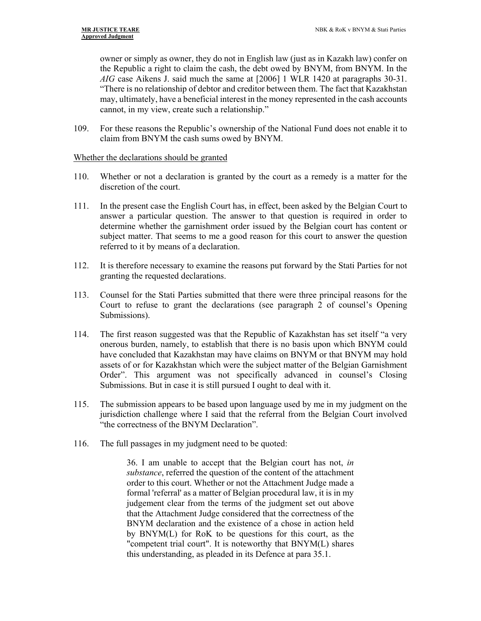owner or simply as owner, they do not in English law (just as in Kazakh law) confer on the Republic a right to claim the cash, the debt owed by BNYM, from BNYM. In the *AIG* case Aikens J. said much the same at [2006] 1 WLR 1420 at paragraphs 30-31. "There is no relationship of debtor and creditor between them. The fact that Kazakhstan may, ultimately, have a beneficial interest in the money represented in the cash accounts cannot, in my view, create such a relationship."

109. For these reasons the Republic's ownership of the National Fund does not enable it to claim from BNYM the cash sums owed by BNYM.

### Whether the declarations should be granted

- 110. Whether or not a declaration is granted by the court as a remedy is a matter for the discretion of the court.
- 111. In the present case the English Court has, in effect, been asked by the Belgian Court to answer a particular question. The answer to that question is required in order to determine whether the garnishment order issued by the Belgian court has content or subject matter. That seems to me a good reason for this court to answer the question referred to it by means of a declaration.
- 112. It is therefore necessary to examine the reasons put forward by the Stati Parties for not granting the requested declarations.
- 113. Counsel for the Stati Parties submitted that there were three principal reasons for the Court to refuse to grant the declarations (see paragraph 2 of counsel's Opening Submissions).
- 114. The first reason suggested was that the Republic of Kazakhstan has set itself "a very onerous burden, namely, to establish that there is no basis upon which BNYM could have concluded that Kazakhstan may have claims on BNYM or that BNYM may hold assets of or for Kazakhstan which were the subject matter of the Belgian Garnishment Order". This argument was not specifically advanced in counsel's Closing Submissions. But in case it is still pursued I ought to deal with it.
- 115. The submission appears to be based upon language used by me in my judgment on the jurisdiction challenge where I said that the referral from the Belgian Court involved "the correctness of the BNYM Declaration".
- 116. The full passages in my judgment need to be quoted:

36. I am unable to accept that the Belgian court has not, *in substance*, referred the question of the content of the attachment order to this court. Whether or not the Attachment Judge made a formal 'referral' as a matter of Belgian procedural law, it is in my judgement clear from the terms of the judgment set out above that the Attachment Judge considered that the correctness of the BNYM declaration and the existence of a chose in action held by BNYM(L) for RoK to be questions for this court, as the "competent trial court". It is noteworthy that BNYM(L) shares this understanding, as pleaded in its Defence at para 35.1.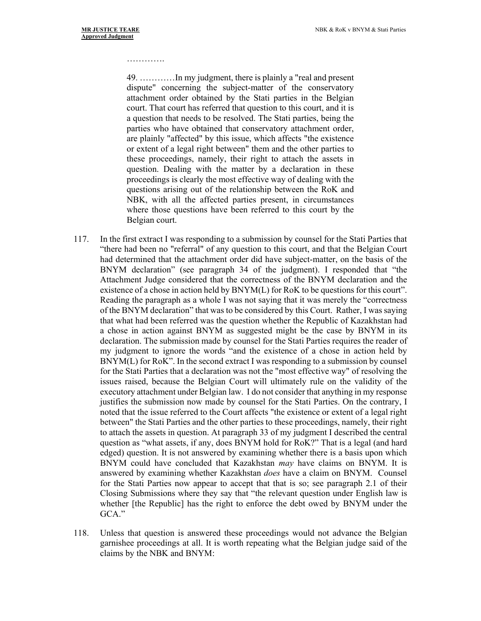#### ……………

49. …………In my judgment, there is plainly a "real and present dispute" concerning the subject-matter of the conservatory attachment order obtained by the Stati parties in the Belgian court. That court has referred that question to this court, and it is a question that needs to be resolved. The Stati parties, being the parties who have obtained that conservatory attachment order, are plainly "affected" by this issue, which affects "the existence or extent of a legal right between" them and the other parties to these proceedings, namely, their right to attach the assets in question. Dealing with the matter by a declaration in these proceedings is clearly the most effective way of dealing with the questions arising out of the relationship between the RoK and NBK, with all the affected parties present, in circumstances where those questions have been referred to this court by the Belgian court.

- 117. In the first extract I was responding to a submission by counsel for the Stati Parties that "there had been no "referral" of any question to this court, and that the Belgian Court had determined that the attachment order did have subject-matter, on the basis of the BNYM declaration" (see paragraph 34 of the judgment). I responded that "the Attachment Judge considered that the correctness of the BNYM declaration and the existence of a chose in action held by BNYM(L) for RoK to be questions for this court". Reading the paragraph as a whole I was not saying that it was merely the "correctness of the BNYM declaration" that was to be considered by this Court. Rather, I was saying that what had been referred was the question whether the Republic of Kazakhstan had a chose in action against BNYM as suggested might be the case by BNYM in its declaration. The submission made by counsel for the Stati Parties requires the reader of my judgment to ignore the words "and the existence of a chose in action held by BNYM(L) for RoK". In the second extract I was responding to a submission by counsel for the Stati Parties that a declaration was not the "most effective way" of resolving the issues raised, because the Belgian Court will ultimately rule on the validity of the executory attachment under Belgian law. I do not consider that anything in my response justifies the submission now made by counsel for the Stati Parties. On the contrary, I noted that the issue referred to the Court affects "the existence or extent of a legal right between" the Stati Parties and the other parties to these proceedings, namely, their right to attach the assets in question. At paragraph 33 of my judgment I described the central question as "what assets, if any, does BNYM hold for RoK?" That is a legal (and hard edged) question. It is not answered by examining whether there is a basis upon which BNYM could have concluded that Kazakhstan *may* have claims on BNYM. It is answered by examining whether Kazakhstan *does* have a claim on BNYM. Counsel for the Stati Parties now appear to accept that that is so; see paragraph 2.1 of their Closing Submissions where they say that "the relevant question under English law is whether [the Republic] has the right to enforce the debt owed by BNYM under the GCA."
- 118. Unless that question is answered these proceedings would not advance the Belgian garnishee proceedings at all. It is worth repeating what the Belgian judge said of the claims by the NBK and BNYM: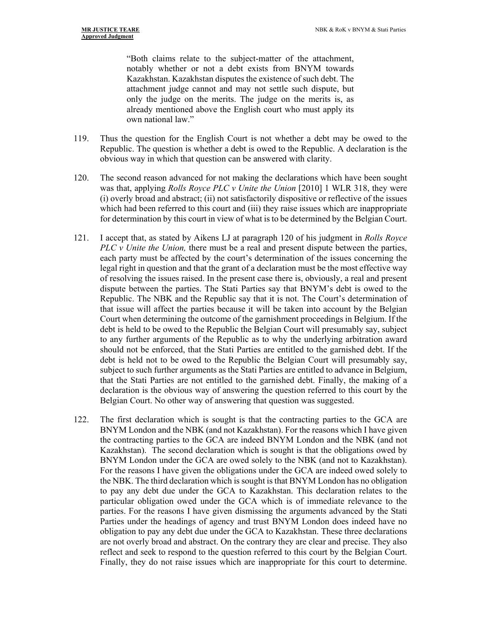"Both claims relate to the subject-matter of the attachment, notably whether or not a debt exists from BNYM towards Kazakhstan. Kazakhstan disputes the existence of such debt. The attachment judge cannot and may not settle such dispute, but only the judge on the merits. The judge on the merits is, as already mentioned above the English court who must apply its own national law."

- 119. Thus the question for the English Court is not whether a debt may be owed to the Republic. The question is whether a debt is owed to the Republic. A declaration is the obvious way in which that question can be answered with clarity.
- 120. The second reason advanced for not making the declarations which have been sought was that, applying *Rolls Royce PLC v Unite the Union* [2010] 1 WLR 318, they were (i) overly broad and abstract; (ii) not satisfactorily dispositive or reflective of the issues which had been referred to this court and (iii) they raise issues which are inappropriate for determination by this court in view of what is to be determined by the Belgian Court.
- 121. I accept that, as stated by Aikens LJ at paragraph 120 of his judgment in *Rolls Royce PLC v Unite the Union*, there must be a real and present dispute between the parties, each party must be affected by the court's determination of the issues concerning the legal right in question and that the grant of a declaration must be the most effective way of resolving the issues raised. In the present case there is, obviously, a real and present dispute between the parties. The Stati Parties say that BNYM's debt is owed to the Republic. The NBK and the Republic say that it is not. The Court's determination of that issue will affect the parties because it will be taken into account by the Belgian Court when determining the outcome of the garnishment proceedings in Belgium. If the debt is held to be owed to the Republic the Belgian Court will presumably say, subject to any further arguments of the Republic as to why the underlying arbitration award should not be enforced, that the Stati Parties are entitled to the garnished debt. If the debt is held not to be owed to the Republic the Belgian Court will presumably say, subject to such further arguments as the Stati Parties are entitled to advance in Belgium, that the Stati Parties are not entitled to the garnished debt. Finally, the making of a declaration is the obvious way of answering the question referred to this court by the Belgian Court. No other way of answering that question was suggested.
- 122. The first declaration which is sought is that the contracting parties to the GCA are BNYM London and the NBK (and not Kazakhstan). For the reasons which I have given the contracting parties to the GCA are indeed BNYM London and the NBK (and not Kazakhstan). The second declaration which is sought is that the obligations owed by BNYM London under the GCA are owed solely to the NBK (and not to Kazakhstan). For the reasons I have given the obligations under the GCA are indeed owed solely to the NBK. The third declaration which is sought is that BNYM London has no obligation to pay any debt due under the GCA to Kazakhstan. This declaration relates to the particular obligation owed under the GCA which is of immediate relevance to the parties. For the reasons I have given dismissing the arguments advanced by the Stati Parties under the headings of agency and trust BNYM London does indeed have no obligation to pay any debt due under the GCA to Kazakhstan. These three declarations are not overly broad and abstract. On the contrary they are clear and precise. They also reflect and seek to respond to the question referred to this court by the Belgian Court. Finally, they do not raise issues which are inappropriate for this court to determine.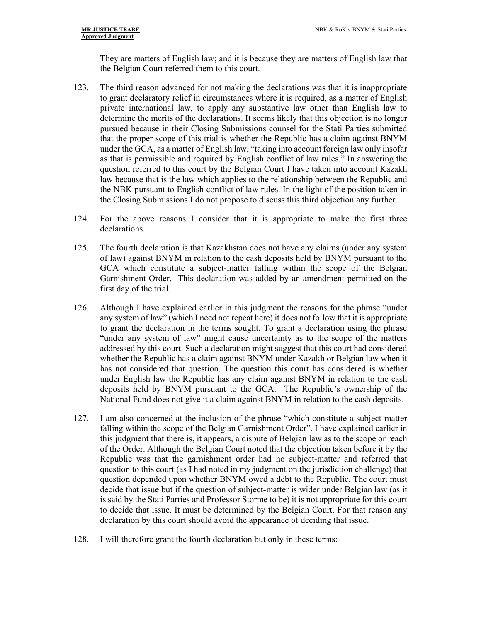They are matters of English law; and it is because they are matters of English law that the Belgian Court referred them to this court.

- 123. The third reason advanced for not making the declarations was that it is inappropriate to grant declaratory relief in circumstances where it is required, as a matter of English private international law, to apply any substantive law other than English law to determine the merits of the declarations. It seems likely that this objection is no longer pursued because in their Closing Submissions counsel for the Stati Parties submitted that the proper scope of this trial is whether the Republic has a claim against BNYM under the GCA, as a matter of English law, "taking into account foreign law only insofar as that is permissible and required by English conflict of law rules." In answering the question referred to this court by the Belgian Court I have taken into account Kazakh law because that is the law which applies to the relationship between the Republic and the NBK pursuant to English conflict of law rules. In the light of the position taken in the Closing Submissions I do not propose to discuss this third objection any further.
- 124. For the above reasons I consider that it is appropriate to make the first three declarations.
- 125. The fourth declaration is that Kazakhstan does not have any claims (under any system of law) against BNYM in relation to the cash deposits held by BNYM pursuant to the GCA which constitute a subject-matter falling within the scope of the Belgian Garnishment Order. This declaration was added by an amendment permitted on the first day of the trial.
- 126. Although I have explained earlier in this judgment the reasons for the phrase "under any system of law" (which I need not repeat here) it does not follow that it is appropriate to grant the declaration in the terms sought. To grant a declaration using the phrase "under any system of law" might cause uncertainty as to the scope of the matters addressed by this court. Such a declaration might suggest that this court had considered whether the Republic has a claim against BNYM under Kazakh or Belgian law when it has not considered that question. The question this court has considered is whether under English law the Republic has any claim against BNYM in relation to the cash deposits held by BNYM pursuant to the GCA. The Republic's ownership of the National Fund does not give it a claim against BNYM in relation to the cash deposits.
- 127. I am also concerned at the inclusion of the phrase "which constitute a subject-matter falling within the scope of the Belgian Garnishment Order". I have explained earlier in this judgment that there is, it appears, a dispute of Belgian law as to the scope or reach of the Order. Although the Belgian Court noted that the objection taken before it by the Republic was that the garnishment order had no subject-matter and referred that question to this court (as I had noted in my judgment on the jurisdiction challenge) that question depended upon whether BNYM owed a debt to the Republic. The court must decide that issue but if the question of subject-matter is wider under Belgian law (as it is said by the Stati Parties and Professor Storme to be) it is not appropriate for this court to decide that issue. It must be determined by the Belgian Court. For that reason any declaration by this court should avoid the appearance of deciding that issue.
- 128. I will therefore grant the fourth declaration but only in these terms: